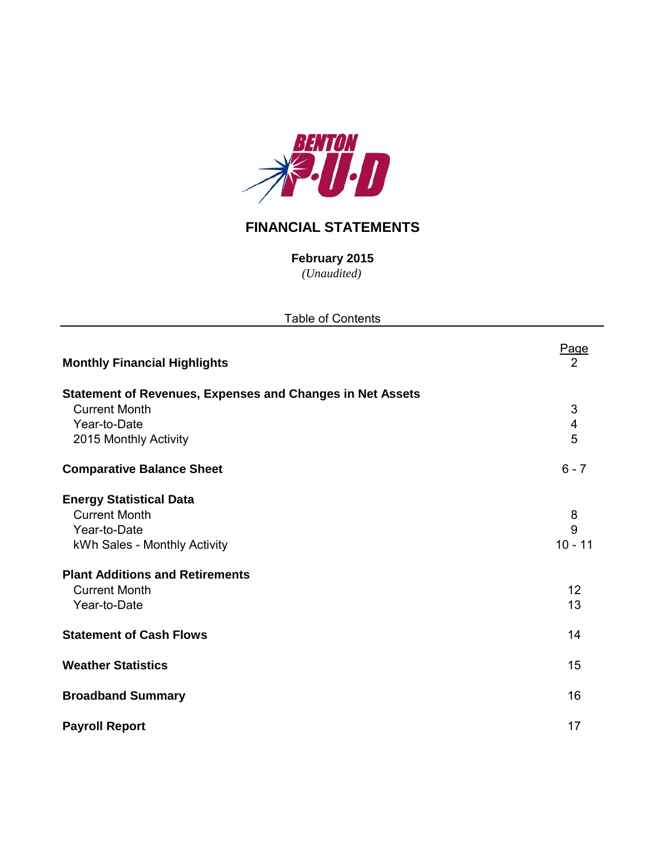

## **FINANCIAL STATEMENTS**

*(Unaudited)* **February 2015**

| <b>Table of Contents</b>                                         |                         |  |  |  |  |  |  |  |
|------------------------------------------------------------------|-------------------------|--|--|--|--|--|--|--|
| <b>Monthly Financial Highlights</b>                              | <u>Page</u><br>2        |  |  |  |  |  |  |  |
| <b>Statement of Revenues, Expenses and Changes in Net Assets</b> |                         |  |  |  |  |  |  |  |
| <b>Current Month</b>                                             | $\sqrt{3}$              |  |  |  |  |  |  |  |
| Year-to-Date                                                     | $\overline{\mathbf{4}}$ |  |  |  |  |  |  |  |
| 2015 Monthly Activity                                            | 5                       |  |  |  |  |  |  |  |
| <b>Comparative Balance Sheet</b>                                 | $6 - 7$                 |  |  |  |  |  |  |  |
| <b>Energy Statistical Data</b>                                   |                         |  |  |  |  |  |  |  |
| <b>Current Month</b>                                             | 8                       |  |  |  |  |  |  |  |
| Year-to-Date                                                     | 9                       |  |  |  |  |  |  |  |
| kWh Sales - Monthly Activity                                     | $10 - 11$               |  |  |  |  |  |  |  |
| <b>Plant Additions and Retirements</b>                           |                         |  |  |  |  |  |  |  |
| <b>Current Month</b>                                             | 12                      |  |  |  |  |  |  |  |
| Year-to-Date                                                     | 13                      |  |  |  |  |  |  |  |
| <b>Statement of Cash Flows</b>                                   | 14                      |  |  |  |  |  |  |  |
| <b>Weather Statistics</b>                                        | 15                      |  |  |  |  |  |  |  |
| <b>Broadband Summary</b>                                         | 16                      |  |  |  |  |  |  |  |
| <b>Payroll Report</b>                                            | 17                      |  |  |  |  |  |  |  |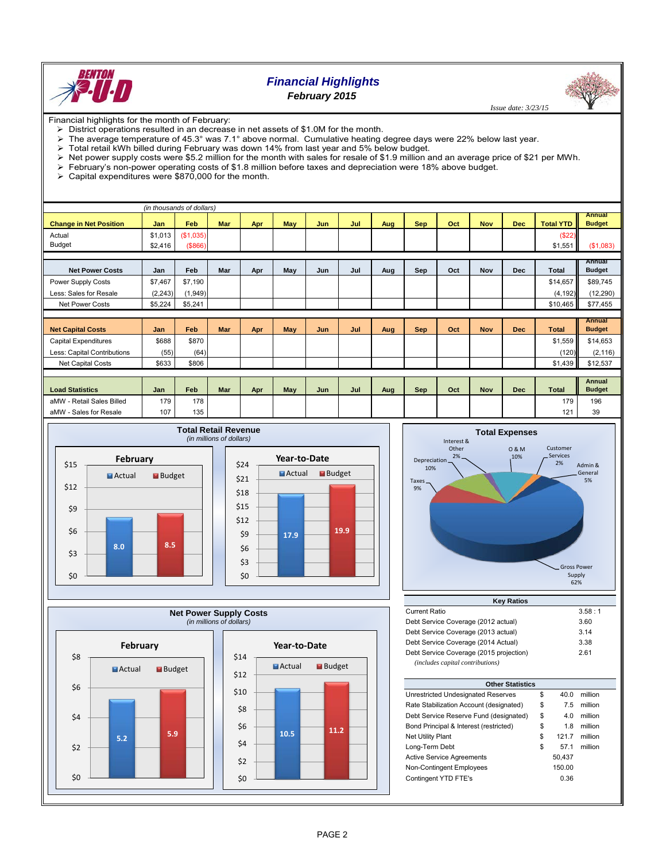

## *Financial Highlights February 2015*

 *Issue date: 3/23/15*

Financial highlights for the month of February:

- $\triangleright$  District operations resulted in an decrease in net assets of \$1.0M for the month.
- The average temperature of 45.3° was 7.1° above normal. Cumulative heating degree days were 22% below last year.

- $\triangleright$  Total retail kWh billed during February was down 14% from last year and 5% below budget.<br>  $\triangleright$  Net power supply costs were \$5.2 million for the month with sales for resale of \$1.9 million a Net power supply costs were \$5.2 million for the month with sales for resale of \$1.9 million and an average price of \$21 per MWh.
- February's non-power operating costs of \$1.8 million before taxes and depreciation were 18% above budget.
- $\geq$  Capital expenditures were \$870,000 for the month.

|                               |         | (in thousands of dollars) |            |     |     |     |     |     |            |     |            |            |                  |                         |
|-------------------------------|---------|---------------------------|------------|-----|-----|-----|-----|-----|------------|-----|------------|------------|------------------|-------------------------|
| <b>Change in Net Position</b> | Jan     | Feb                       | <b>Mar</b> |     | May | Jun | Jul |     | <b>Sep</b> | Oct | <b>Nov</b> | Dec        | <b>Total YTD</b> | Annual<br><b>Budget</b> |
|                               |         |                           |            | Apr |     |     |     | Aug |            |     |            |            |                  |                         |
| Actual                        | \$1,013 | (\$1,035)                 |            |     |     |     |     |     |            |     |            |            | (\$22)           |                         |
| <b>Budget</b>                 | \$2,416 | ( \$866)                  |            |     |     |     |     |     |            |     |            |            | \$1,551          | (S1,083)                |
|                               |         |                           |            |     |     |     |     |     |            |     |            |            |                  |                         |
| <b>Net Power Costs</b>        | Jan     | Feb                       | Mar        | Apr | May | Jun | Jul | Aug | Sep        | Oct | <b>Nov</b> | <b>Dec</b> | Total            | Annual<br><b>Budget</b> |
| Power Supply Costs            | \$7,467 | \$7,190                   |            |     |     |     |     |     |            |     |            |            | \$14,657         | \$89,745                |
| Less: Sales for Resale        | (2,243) | (1,949)                   |            |     |     |     |     |     |            |     |            |            | (4, 192)         | (12, 290)               |
| <b>Net Power Costs</b>        | \$5,224 | \$5,241                   |            |     |     |     |     |     |            |     |            |            | \$10,465         | \$77,455                |
|                               |         |                           |            |     |     |     |     |     |            |     |            |            |                  |                         |
|                               |         |                           |            |     |     |     |     |     |            |     |            |            |                  | Annual                  |
| <b>Net Capital Costs</b>      | Jan     | Feb                       | <b>Mar</b> | Apr | May | Jun | Jul | Aug | <b>Sep</b> | Oct | <b>Nov</b> | <b>Dec</b> | <b>Total</b>     | <b>Budget</b>           |
| <b>Capital Expenditures</b>   | \$688   | \$870                     |            |     |     |     |     |     |            |     |            |            | \$1,559          | \$14,653                |
| Less: Capital Contributions   | (55)    | (64)                      |            |     |     |     |     |     |            |     |            |            | (120)            | (2, 116)                |
| Net Capital Costs             | \$633   | \$806                     |            |     |     |     |     |     |            |     |            |            | \$1,439          | \$12,537                |
|                               |         |                           |            |     |     |     |     |     |            |     |            |            |                  |                         |
|                               |         |                           |            |     |     |     |     |     |            |     |            |            |                  | <b>Annual</b>           |
| <b>Load Statistics</b>        | Jan     | Feb                       | <b>Mar</b> | Apr | May | Jun | Jul | Aug | Sep        | Oct | <b>Nov</b> | <b>Dec</b> | <b>Total</b>     | <b>Budget</b>           |
| aMW - Retail Sales Billed     | 179     | 178                       |            |     |     |     |     |     |            |     |            |            | 179              | 196                     |
| aMW - Sales for Resale        | 107     | 135                       |            |     |     |     |     |     |            |     |            |            | 121              | 39                      |

**Budget** 







| <b>Key Ratios</b>                       |        |  |  |  |  |  |  |  |  |  |  |
|-----------------------------------------|--------|--|--|--|--|--|--|--|--|--|--|
| <b>Current Ratio</b>                    | 3.58:1 |  |  |  |  |  |  |  |  |  |  |
| Debt Service Coverage (2012 actual)     | 3.60   |  |  |  |  |  |  |  |  |  |  |
| Debt Service Coverage (2013 actual)     | 3.14   |  |  |  |  |  |  |  |  |  |  |
| Debt Service Coverage (2014 Actual)     | 3.38   |  |  |  |  |  |  |  |  |  |  |
| Debt Service Coverage (2015 projection) | 2.61   |  |  |  |  |  |  |  |  |  |  |
| (includes capital contributions)        |        |  |  |  |  |  |  |  |  |  |  |

| <b>Other Statistics</b>                 |    |        |         |  |  |  |  |  |  |  |
|-----------------------------------------|----|--------|---------|--|--|--|--|--|--|--|
| Unrestricted Undesignated Reserves      | \$ | 40.0   | million |  |  |  |  |  |  |  |
| Rate Stabilization Account (designated) | \$ | 7.5    | million |  |  |  |  |  |  |  |
| Debt Service Reserve Fund (designated)  | \$ | 4.0    | million |  |  |  |  |  |  |  |
| Bond Principal & Interest (restricted)  | \$ | 1.8    | million |  |  |  |  |  |  |  |
| <b>Net Utility Plant</b>                | \$ | 121.7  | million |  |  |  |  |  |  |  |
| Long-Term Debt                          | \$ | 571    | million |  |  |  |  |  |  |  |
| <b>Active Service Agreements</b>        |    | 50,437 |         |  |  |  |  |  |  |  |
| <b>Non-Contingent Employees</b>         |    | 150.00 |         |  |  |  |  |  |  |  |
| Contingent YTD FTE's                    |    | 0.36   |         |  |  |  |  |  |  |  |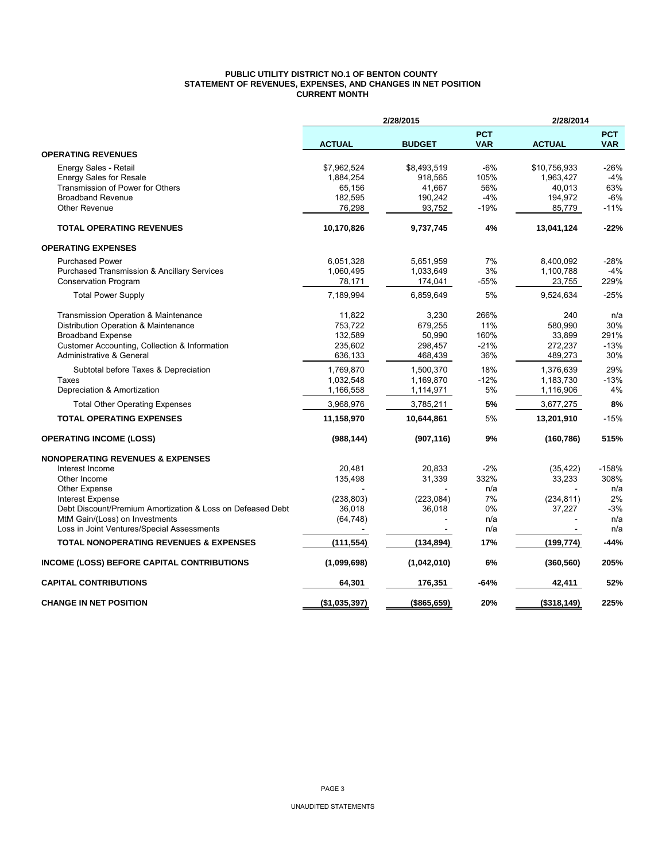#### **PUBLIC UTILITY DISTRICT NO.1 OF BENTON COUNTY STATEMENT OF REVENUES, EXPENSES, AND CHANGES IN NET POSITION CURRENT MONTH**

|                                                            |               | 2/28/2015     |                          | 2/28/2014     |                          |
|------------------------------------------------------------|---------------|---------------|--------------------------|---------------|--------------------------|
|                                                            | <b>ACTUAL</b> | <b>BUDGET</b> | <b>PCT</b><br><b>VAR</b> | <b>ACTUAL</b> | <b>PCT</b><br><b>VAR</b> |
| <b>OPERATING REVENUES</b>                                  |               |               |                          |               |                          |
| Energy Sales - Retail                                      | \$7,962,524   | \$8,493,519   | $-6%$                    | \$10,756,933  | $-26%$                   |
| <b>Energy Sales for Resale</b>                             | 1,884,254     | 918,565       | 105%                     | 1,963,427     | $-4%$                    |
| Transmission of Power for Others                           | 65,156        | 41,667        | 56%                      | 40,013        | 63%                      |
| <b>Broadband Revenue</b>                                   | 182,595       | 190,242       | $-4%$                    | 194,972       | $-6%$                    |
| <b>Other Revenue</b>                                       | 76,298        | 93,752        | $-19%$                   | 85,779        | $-11%$                   |
| <b>TOTAL OPERATING REVENUES</b>                            | 10,170,826    | 9,737,745     | 4%                       | 13,041,124    | $-22%$                   |
| <b>OPERATING EXPENSES</b>                                  |               |               |                          |               |                          |
| <b>Purchased Power</b>                                     | 6,051,328     | 5,651,959     | 7%                       | 8,400,092     | -28%                     |
| <b>Purchased Transmission &amp; Ancillary Services</b>     | 1,060,495     | 1,033,649     | 3%                       | 1,100,788     | $-4%$                    |
| <b>Conservation Program</b>                                | 78,171        | 174,041       | -55%                     | 23,755        | 229%                     |
| <b>Total Power Supply</b>                                  | 7,189,994     | 6,859,649     | 5%                       | 9,524,634     | $-25%$                   |
| Transmission Operation & Maintenance                       | 11,822        | 3,230         | 266%                     | 240           | n/a                      |
| Distribution Operation & Maintenance                       | 753,722       | 679,255       | 11%                      | 580,990       | 30%                      |
| <b>Broadband Expense</b>                                   | 132,589       | 50,990        | 160%                     | 33,899        | 291%                     |
| Customer Accounting, Collection & Information              | 235,602       | 298,457       | $-21%$                   | 272,237       | $-13%$                   |
| Administrative & General                                   | 636,133       | 468,439       | 36%                      | 489,273       | 30%                      |
| Subtotal before Taxes & Depreciation                       | 1,769,870     | 1,500,370     | 18%                      | 1,376,639     | 29%                      |
| Taxes                                                      | 1,032,548     | 1,169,870     | $-12%$                   | 1,183,730     | $-13%$                   |
| Depreciation & Amortization                                | 1,166,558     | 1,114,971     | 5%                       | 1,116,906     | 4%                       |
| <b>Total Other Operating Expenses</b>                      | 3,968,976     | 3,785,211     | 5%                       | 3,677,275     | 8%                       |
| <b>TOTAL OPERATING EXPENSES</b>                            | 11,158,970    | 10,644,861    | 5%                       | 13,201,910    | $-15%$                   |
| <b>OPERATING INCOME (LOSS)</b>                             | (988, 144)    | (907, 116)    | 9%                       | (160, 786)    | 515%                     |
| <b>NONOPERATING REVENUES &amp; EXPENSES</b>                |               |               |                          |               |                          |
| Interest Income                                            | 20.481        | 20.833        | $-2%$                    | (35, 422)     | $-158%$                  |
| Other Income                                               | 135,498       | 31,339        | 332%                     | 33,233        | 308%                     |
| Other Expense                                              |               |               | n/a                      |               | n/a                      |
| <b>Interest Expense</b>                                    | (238, 803)    | (223, 084)    | 7%                       | (234, 811)    | 2%                       |
| Debt Discount/Premium Amortization & Loss on Defeased Debt | 36,018        | 36,018        | 0%                       | 37,227        | $-3%$                    |
| MtM Gain/(Loss) on Investments                             | (64, 748)     |               | n/a                      |               | n/a                      |
| Loss in Joint Ventures/Special Assessments                 |               |               | n/a                      |               | n/a                      |
| <b>TOTAL NONOPERATING REVENUES &amp; EXPENSES</b>          | (111, 554)    | (134, 894)    | 17%                      | (199, 774)    | $-44%$                   |
| INCOME (LOSS) BEFORE CAPITAL CONTRIBUTIONS                 | (1,099,698)   | (1,042,010)   | 6%                       | (360, 560)    | 205%                     |
| <b>CAPITAL CONTRIBUTIONS</b>                               | 64,301        | 176,351       | -64%                     | 42,411        | 52%                      |
| <b>CHANGE IN NET POSITION</b>                              | (\$1,035,397) | ( \$865, 659) | 20%                      | ( \$318, 149) | 225%                     |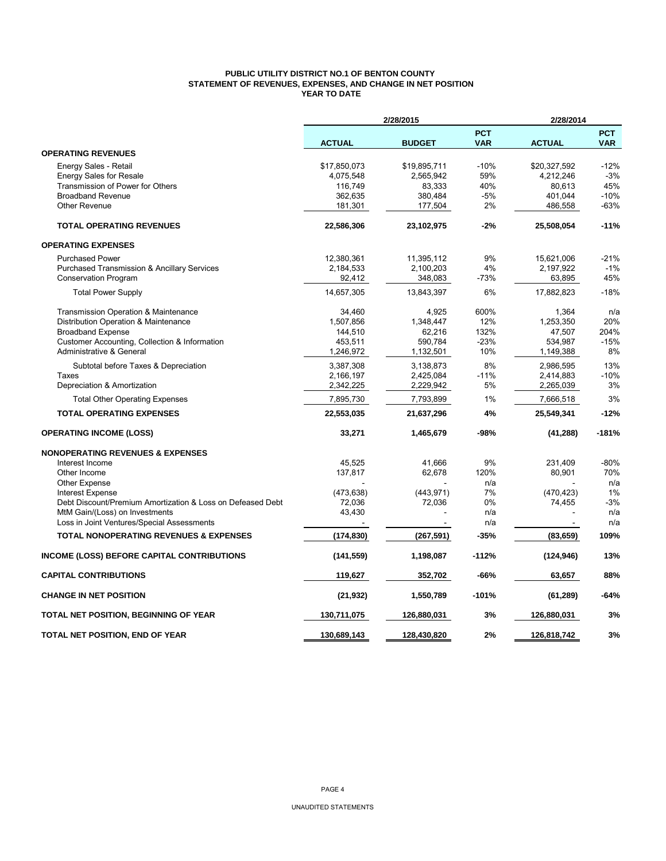### **PUBLIC UTILITY DISTRICT NO.1 OF BENTON COUNTY STATEMENT OF REVENUES, EXPENSES, AND CHANGE IN NET POSITION YEAR TO DATE**

|                                                            |               | 2/28/2015     |                          | 2/28/2014      |                          |
|------------------------------------------------------------|---------------|---------------|--------------------------|----------------|--------------------------|
|                                                            | <b>ACTUAL</b> | <b>BUDGET</b> | <b>PCT</b><br><b>VAR</b> | <b>ACTUAL</b>  | <b>PCT</b><br><b>VAR</b> |
| <b>OPERATING REVENUES</b>                                  |               |               |                          |                |                          |
| Energy Sales - Retail                                      | \$17,850,073  | \$19,895,711  | $-10%$                   | \$20,327,592   | $-12%$                   |
| <b>Energy Sales for Resale</b>                             | 4,075,548     | 2,565,942     | 59%                      | 4,212,246      | $-3%$                    |
| Transmission of Power for Others                           | 116,749       | 83,333        | 40%                      | 80,613         | 45%                      |
| <b>Broadband Revenue</b>                                   | 362,635       | 380,484       | -5%                      | 401,044        | $-10%$                   |
| <b>Other Revenue</b>                                       | 181,301       | 177,504       | 2%                       | 486,558        | $-63%$                   |
| <b>TOTAL OPERATING REVENUES</b>                            | 22,586,306    | 23,102,975    | $-2%$                    | 25,508,054     | $-11%$                   |
| <b>OPERATING EXPENSES</b>                                  |               |               |                          |                |                          |
| <b>Purchased Power</b>                                     | 12,380,361    | 11,395,112    | 9%                       | 15,621,006     | $-21%$                   |
| Purchased Transmission & Ancillary Services                | 2,184,533     | 2,100,203     | 4%                       | 2,197,922      | $-1%$                    |
| <b>Conservation Program</b>                                | 92,412        | 348,083       | $-73%$                   | 63,895         | 45%                      |
| <b>Total Power Supply</b>                                  | 14,657,305    | 13,843,397    | 6%                       | 17,882,823     | $-18%$                   |
| Transmission Operation & Maintenance                       | 34.460        | 4.925         | 600%                     | 1,364          | n/a                      |
| Distribution Operation & Maintenance                       | 1,507,856     | 1,348,447     | 12%                      | 1,253,350      | 20%                      |
| <b>Broadband Expense</b>                                   | 144,510       | 62,216        | 132%                     | 47,507         | 204%                     |
| Customer Accounting, Collection & Information              | 453,511       | 590,784       | $-23%$                   | 534,987        | $-15%$                   |
| Administrative & General                                   | 1,246,972     | 1,132,501     | 10%                      | 1,149,388      | 8%                       |
| Subtotal before Taxes & Depreciation                       | 3,387,308     | 3,138,873     | 8%                       | 2,986,595      | 13%                      |
| Taxes                                                      | 2,166,197     | 2,425,084     | $-11%$                   | 2,414,883      | $-10%$                   |
| Depreciation & Amortization                                | 2,342,225     | 2,229,942     | 5%                       | 2,265,039      | 3%                       |
| <b>Total Other Operating Expenses</b>                      | 7,895,730     | 7,793,899     | 1%                       | 7,666,518      | 3%                       |
| <b>TOTAL OPERATING EXPENSES</b>                            | 22,553,035    | 21,637,296    | 4%                       | 25,549,341     | $-12%$                   |
| <b>OPERATING INCOME (LOSS)</b>                             | 33,271        | 1,465,679     | -98%                     | (41, 288)      | $-181%$                  |
| <b>NONOPERATING REVENUES &amp; EXPENSES</b>                |               |               |                          |                |                          |
| Interest Income                                            | 45,525        | 41,666        | 9%                       | 231,409        | $-80%$                   |
| Other Income                                               | 137,817       | 62,678        | 120%                     | 80,901         | 70%                      |
| <b>Other Expense</b>                                       |               |               | n/a                      |                | n/a                      |
| <b>Interest Expense</b>                                    | (473, 638)    | (443, 971)    | 7%                       | (470, 423)     | 1%                       |
| Debt Discount/Premium Amortization & Loss on Defeased Debt | 72,036        | 72,036        | 0%                       | 74,455         | $-3%$                    |
| MtM Gain/(Loss) on Investments                             | 43,430        |               | n/a                      |                | n/a                      |
| Loss in Joint Ventures/Special Assessments                 |               |               | n/a                      | $\blacksquare$ | n/a                      |
| <b>TOTAL NONOPERATING REVENUES &amp; EXPENSES</b>          | (174, 830)    | (267, 591)    | $-35%$                   | (83, 659)      | 109%                     |
| <b>INCOME (LOSS) BEFORE CAPITAL CONTRIBUTIONS</b>          | (141, 559)    | 1,198,087     | $-112%$                  | (124, 946)     | 13%                      |
| <b>CAPITAL CONTRIBUTIONS</b>                               | 119,627       | 352,702       | -66%                     | 63,657         | 88%                      |
| <b>CHANGE IN NET POSITION</b>                              | (21, 932)     | 1,550,789     | $-101%$                  | (61, 289)      | -64%                     |
| TOTAL NET POSITION, BEGINNING OF YEAR                      | 130,711,075   | 126,880,031   | 3%                       | 126,880,031    | 3%                       |
| TOTAL NET POSITION, END OF YEAR                            | 130.689.143   | 128.430.820   | 2%                       | 126.818.742    | 3%                       |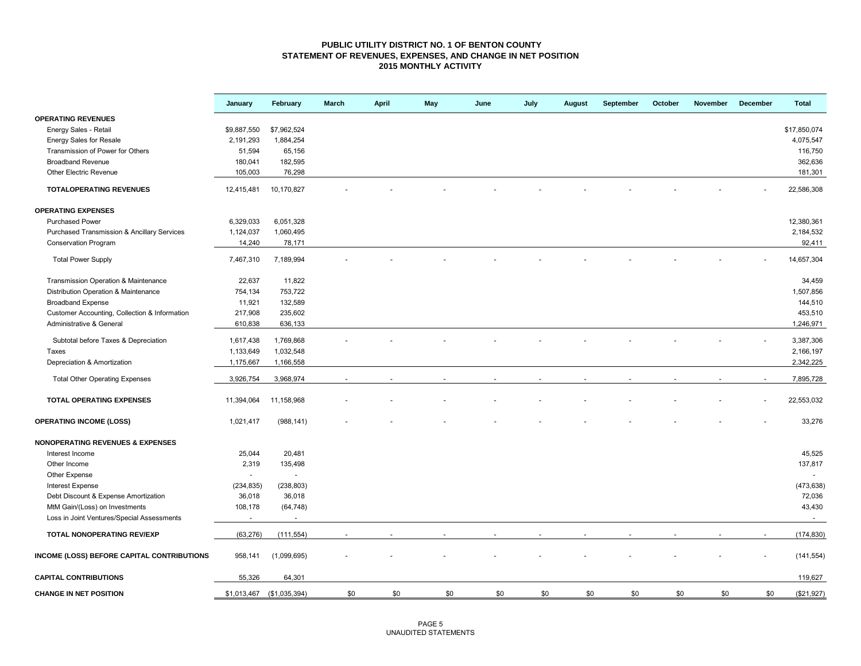#### **PUBLIC UTILITY DISTRICT NO. 1 OF BENTON COUNTY STATEMENT OF REVENUES, EXPENSES, AND CHANGE IN NET POSITION 2015 MONTHLY ACTIVITY**

|                                                        | January        | February                  | March | <b>April</b> | May | June | July | August | September | October | November | December | <b>Total</b> |
|--------------------------------------------------------|----------------|---------------------------|-------|--------------|-----|------|------|--------|-----------|---------|----------|----------|--------------|
| <b>OPERATING REVENUES</b>                              |                |                           |       |              |     |      |      |        |           |         |          |          |              |
| Energy Sales - Retail                                  | \$9,887,550    | \$7,962,524               |       |              |     |      |      |        |           |         |          |          | \$17,850,074 |
| <b>Energy Sales for Resale</b>                         | 2,191,293      | 1,884,254                 |       |              |     |      |      |        |           |         |          |          | 4,075,547    |
| Transmission of Power for Others                       | 51,594         | 65,156                    |       |              |     |      |      |        |           |         |          |          | 116,750      |
| <b>Broadband Revenue</b>                               | 180,041        | 182,595                   |       |              |     |      |      |        |           |         |          |          | 362,636      |
| Other Electric Revenue                                 | 105,003        | 76,298                    |       |              |     |      |      |        |           |         |          |          | 181,301      |
| <b>TOTALOPERATING REVENUES</b>                         | 12,415,481     | 10,170,827                |       |              |     |      |      |        |           |         |          |          | 22,586,308   |
| <b>OPERATING EXPENSES</b>                              |                |                           |       |              |     |      |      |        |           |         |          |          |              |
| <b>Purchased Power</b>                                 | 6,329,033      | 6,051,328                 |       |              |     |      |      |        |           |         |          |          | 12,380,361   |
| <b>Purchased Transmission &amp; Ancillary Services</b> | 1,124,037      | 1,060,495                 |       |              |     |      |      |        |           |         |          |          | 2,184,532    |
| <b>Conservation Program</b>                            | 14,240         | 78,171                    |       |              |     |      |      |        |           |         |          |          | 92,411       |
| <b>Total Power Supply</b>                              | 7,467,310      | 7,189,994                 |       |              |     |      |      |        |           |         |          |          | 14,657,304   |
|                                                        |                |                           |       |              |     |      |      |        |           |         |          |          |              |
| Transmission Operation & Maintenance                   | 22,637         | 11,822                    |       |              |     |      |      |        |           |         |          |          | 34,459       |
| Distribution Operation & Maintenance                   | 754,134        | 753,722                   |       |              |     |      |      |        |           |         |          |          | 1,507,856    |
| <b>Broadband Expense</b>                               | 11,921         | 132,589                   |       |              |     |      |      |        |           |         |          |          | 144,510      |
| Customer Accounting, Collection & Information          | 217,908        | 235,602                   |       |              |     |      |      |        |           |         |          |          | 453,510      |
| Administrative & General                               | 610,838        | 636,133                   |       |              |     |      |      |        |           |         |          |          | 1,246,971    |
| Subtotal before Taxes & Depreciation                   | 1,617,438      | 1,769,868                 |       |              |     |      |      |        |           |         |          |          | 3,387,306    |
| Taxes                                                  | 1,133,649      | 1,032,548                 |       |              |     |      |      |        |           |         |          |          | 2,166,197    |
| Depreciation & Amortization                            | 1,175,667      | 1,166,558                 |       |              |     |      |      |        |           |         |          |          | 2,342,225    |
| <b>Total Other Operating Expenses</b>                  | 3,926,754      | 3,968,974                 |       |              |     |      |      |        |           |         |          |          | 7,895,728    |
| TOTAL OPERATING EXPENSES                               | 11,394,064     | 11,158,968                |       |              |     |      |      |        |           |         |          |          | 22,553,032   |
| <b>OPERATING INCOME (LOSS)</b>                         | 1,021,417      | (988, 141)                |       |              |     |      |      |        |           |         |          |          | 33,276       |
| <b>NONOPERATING REVENUES &amp; EXPENSES</b>            |                |                           |       |              |     |      |      |        |           |         |          |          |              |
| Interest Income                                        | 25,044         | 20,481                    |       |              |     |      |      |        |           |         |          |          | 45,525       |
| Other Income                                           | 2,319          | 135,498                   |       |              |     |      |      |        |           |         |          |          | 137,817      |
| Other Expense                                          | $\blacksquare$ | $\blacksquare$            |       |              |     |      |      |        |           |         |          |          |              |
| <b>Interest Expense</b>                                | (234, 835)     | (238, 803)                |       |              |     |      |      |        |           |         |          |          | (473, 638)   |
| Debt Discount & Expense Amortization                   | 36,018         | 36,018                    |       |              |     |      |      |        |           |         |          |          | 72,036       |
| MtM Gain/(Loss) on Investments                         | 108,178        | (64, 748)                 |       |              |     |      |      |        |           |         |          |          | 43,430       |
| Loss in Joint Ventures/Special Assessments             | $\sim$         |                           |       |              |     |      |      |        |           |         |          |          | $\omega$     |
| TOTAL NONOPERATING REV/EXP                             | (63, 276)      | (111, 554)                |       |              |     |      |      |        |           |         |          |          | (174, 830)   |
|                                                        |                |                           |       |              |     |      |      |        |           |         |          |          |              |
| INCOME (LOSS) BEFORE CAPITAL CONTRIBUTIONS             | 958,141        | (1,099,695)               |       |              |     |      |      |        |           |         |          |          | (141, 554)   |
| <b>CAPITAL CONTRIBUTIONS</b>                           | 55,326         | 64,301                    |       |              |     |      |      |        |           |         |          |          | 119,627      |
| <b>CHANGE IN NET POSITION</b>                          |                | \$1,013,467 (\$1,035,394) | \$0   | \$0          | \$0 | \$0  | \$0  | \$0    | \$0       | \$0     | \$0      | \$0      | (\$21,927)   |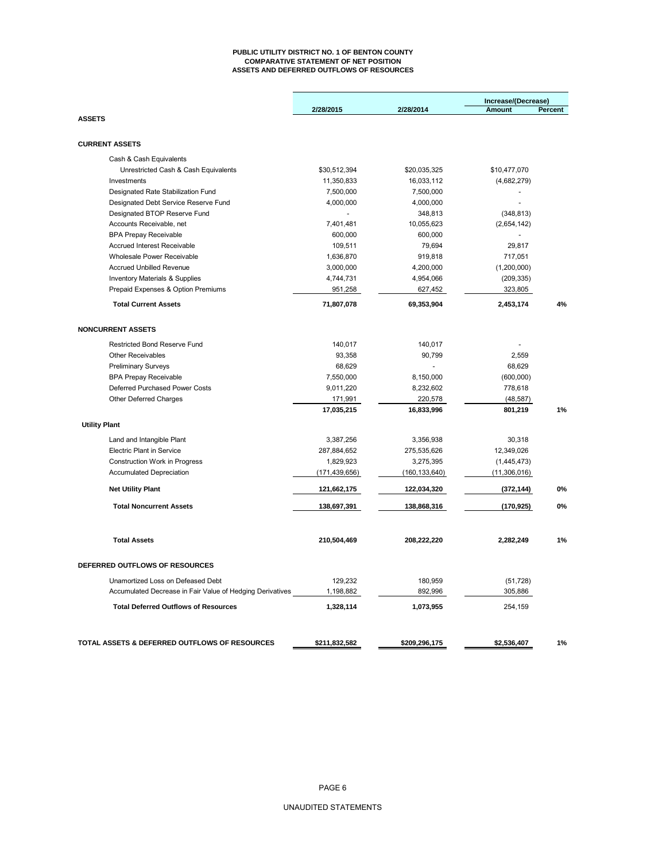#### **PUBLIC UTILITY DISTRICT NO. 1 OF BENTON COUNTY COMPARATIVE STATEMENT OF NET POSITION ASSETS AND DEFERRED OUTFLOWS OF RESOURCES**

|                                                           |                 |                 | Increase/(Decrease) |         |
|-----------------------------------------------------------|-----------------|-----------------|---------------------|---------|
|                                                           | 2/28/2015       | 2/28/2014       | <b>Amount</b>       | Percent |
| <b>ASSETS</b>                                             |                 |                 |                     |         |
| <b>CURRENT ASSETS</b>                                     |                 |                 |                     |         |
| Cash & Cash Equivalents                                   |                 |                 |                     |         |
| Unrestricted Cash & Cash Equivalents                      | \$30,512,394    | \$20,035,325    | \$10,477,070        |         |
| Investments                                               | 11,350,833      | 16,033,112      | (4,682,279)         |         |
| Designated Rate Stabilization Fund                        | 7,500,000       | 7,500,000       |                     |         |
| Designated Debt Service Reserve Fund                      | 4,000,000       | 4,000,000       |                     |         |
| Designated BTOP Reserve Fund                              |                 | 348,813         | (348, 813)          |         |
| Accounts Receivable, net                                  | 7,401,481       | 10,055,623      | (2,654,142)         |         |
| <b>BPA Prepay Receivable</b>                              | 600,000         | 600,000         |                     |         |
| Accrued Interest Receivable                               | 109,511         | 79,694          | 29,817              |         |
| Wholesale Power Receivable                                | 1,636,870       | 919,818         | 717,051             |         |
| <b>Accrued Unbilled Revenue</b>                           | 3,000,000       | 4,200,000       | (1,200,000)         |         |
| <b>Inventory Materials &amp; Supplies</b>                 | 4,744,731       | 4,954,066       | (209, 335)          |         |
| Prepaid Expenses & Option Premiums                        | 951,258         | 627,452         | 323,805             |         |
| <b>Total Current Assets</b>                               | 71,807,078      | 69,353,904      | 2,453,174           | 4%      |
| <b>NONCURRENT ASSETS</b>                                  |                 |                 |                     |         |
| <b>Restricted Bond Reserve Fund</b>                       | 140,017         | 140,017         |                     |         |
| <b>Other Receivables</b>                                  | 93,358          | 90,799          | 2,559               |         |
| <b>Preliminary Surveys</b>                                | 68,629          |                 | 68,629              |         |
| <b>BPA Prepay Receivable</b>                              | 7,550,000       | 8,150,000       | (600,000)           |         |
| Deferred Purchased Power Costs                            | 9,011,220       | 8,232,602       | 778,618             |         |
| Other Deferred Charges                                    | 171,991         | 220,578         | (48, 587)           |         |
|                                                           | 17,035,215      | 16,833,996      | 801,219             | 1%      |
| <b>Utility Plant</b>                                      |                 |                 |                     |         |
| Land and Intangible Plant                                 | 3,387,256       | 3,356,938       | 30.318              |         |
| <b>Electric Plant in Service</b>                          | 287,884,652     | 275,535,626     | 12,349,026          |         |
| Construction Work in Progress                             | 1,829,923       | 3,275,395       | (1,445,473)         |         |
| <b>Accumulated Depreciation</b>                           | (171, 439, 656) | (160, 133, 640) | (11,306,016)        |         |
| <b>Net Utility Plant</b>                                  | 121,662,175     | 122,034,320     | (372, 144)          | 0%      |
| <b>Total Noncurrent Assets</b>                            | 138,697,391     | 138,868,316     | (170, 925)          | 0%      |
| <b>Total Assets</b>                                       | 210,504,469     | 208,222,220     | 2,282,249           | 1%      |
|                                                           |                 |                 |                     |         |
| DEFERRED OUTFLOWS OF RESOURCES                            |                 |                 |                     |         |
| Unamortized Loss on Defeased Debt                         | 129,232         | 180,959         | (51, 728)           |         |
| Accumulated Decrease in Fair Value of Hedging Derivatives | 1,198,882       | 892,996         | 305,886             |         |
| <b>Total Deferred Outflows of Resources</b>               | 1,328,114       | 1,073,955       | 254,159             |         |
| TOTAL ASSETS & DEFERRED OUTFLOWS OF RESOURCES             | \$211,832,582   | \$209,296,175   | \$2,536,407         | 1%      |
|                                                           |                 |                 |                     |         |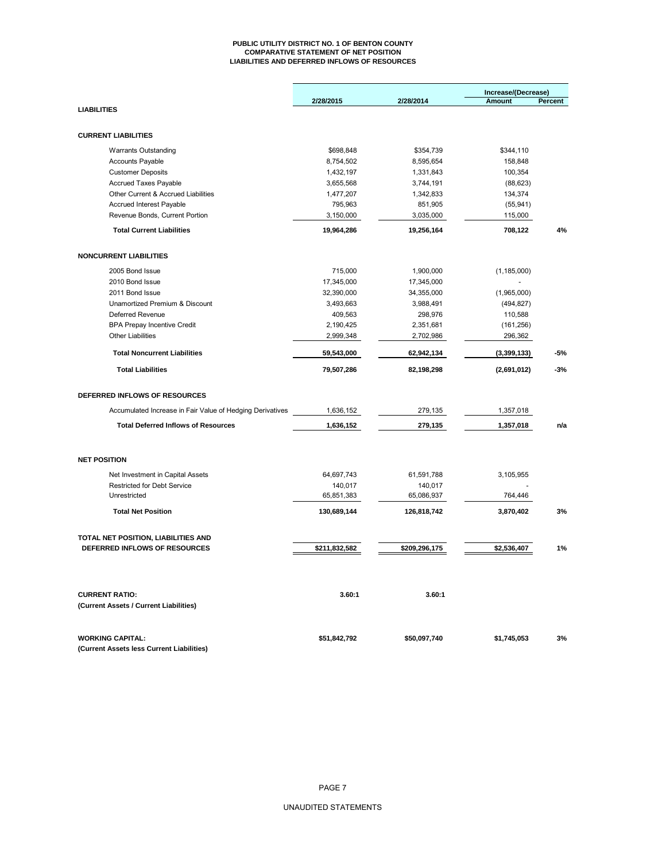#### **PUBLIC UTILITY DISTRICT NO. 1 OF BENTON COUNTY COMPARATIVE STATEMENT OF NET POSITION LIABILITIES AND DEFERRED INFLOWS OF RESOURCES**

|                                                           |               |               | Increase/(Decrease) |         |
|-----------------------------------------------------------|---------------|---------------|---------------------|---------|
|                                                           | 2/28/2015     | 2/28/2014     | Amount              | Percent |
| <b>LIABILITIES</b>                                        |               |               |                     |         |
|                                                           |               |               |                     |         |
| <b>CURRENT LIABILITIES</b>                                |               |               |                     |         |
| <b>Warrants Outstanding</b>                               | \$698,848     | \$354,739     | \$344,110           |         |
| <b>Accounts Payable</b>                                   | 8,754,502     | 8,595,654     | 158,848             |         |
| <b>Customer Deposits</b>                                  | 1,432,197     | 1,331,843     | 100,354             |         |
| Accrued Taxes Payable                                     | 3,655,568     | 3,744,191     | (88, 623)           |         |
| Other Current & Accrued Liabilities                       | 1,477,207     | 1,342,833     | 134,374             |         |
| Accrued Interest Payable                                  | 795,963       | 851,905       | (55, 941)           |         |
| Revenue Bonds, Current Portion                            | 3,150,000     | 3,035,000     | 115,000             |         |
| <b>Total Current Liabilities</b>                          | 19,964,286    | 19,256,164    | 708,122             | 4%      |
| <b>NONCURRENT LIABILITIES</b>                             |               |               |                     |         |
|                                                           |               |               |                     |         |
| 2005 Bond Issue                                           | 715,000       | 1,900,000     | (1, 185, 000)       |         |
| 2010 Bond Issue                                           | 17,345,000    | 17,345,000    |                     |         |
| 2011 Bond Issue                                           | 32,390,000    | 34,355,000    | (1,965,000)         |         |
| Unamortized Premium & Discount                            | 3,493,663     | 3,988,491     | (494, 827)          |         |
| Deferred Revenue                                          | 409,563       | 298,976       | 110,588             |         |
| <b>BPA Prepay Incentive Credit</b>                        | 2,190,425     | 2,351,681     | (161, 256)          |         |
| <b>Other Liabilities</b>                                  | 2,999,348     | 2,702,986     | 296,362             |         |
| <b>Total Noncurrent Liabilities</b>                       | 59,543,000    | 62,942,134    | (3,399,133)         | -5%     |
| <b>Total Liabilities</b>                                  | 79,507,286    | 82,198,298    | (2,691,012)         | $-3%$   |
| DEFERRED INFLOWS OF RESOURCES                             |               |               |                     |         |
| Accumulated Increase in Fair Value of Hedging Derivatives | 1,636,152     | 279,135       | 1,357,018           |         |
| <b>Total Deferred Inflows of Resources</b>                | 1,636,152     | 279,135       | 1,357,018           | n/a     |
|                                                           |               |               |                     |         |
| <b>NET POSITION</b>                                       |               |               |                     |         |
| Net Investment in Capital Assets                          | 64,697,743    | 61,591,788    | 3,105,955           |         |
| <b>Restricted for Debt Service</b>                        | 140,017       | 140,017       |                     |         |
| Unrestricted                                              | 65,851,383    | 65,086,937    | 764,446             |         |
| <b>Total Net Position</b>                                 | 130,689,144   | 126,818,742   | 3,870,402           | 3%      |
| TOTAL NET POSITION, LIABILITIES AND                       |               |               |                     |         |
| DEFERRED INFLOWS OF RESOURCES                             | \$211,832,582 | \$209,296,175 | \$2,536,407         | 1%      |
|                                                           |               |               |                     |         |
| <b>CURRENT RATIO:</b>                                     | 3.60:1        | 3.60:1        |                     |         |
| (Current Assets / Current Liabilities)                    |               |               |                     |         |
| <b>WORKING CAPITAL:</b>                                   | \$51,842,792  | \$50,097,740  | \$1,745,053         | 3%      |
| (Current Assets less Current Liabilities)                 |               |               |                     |         |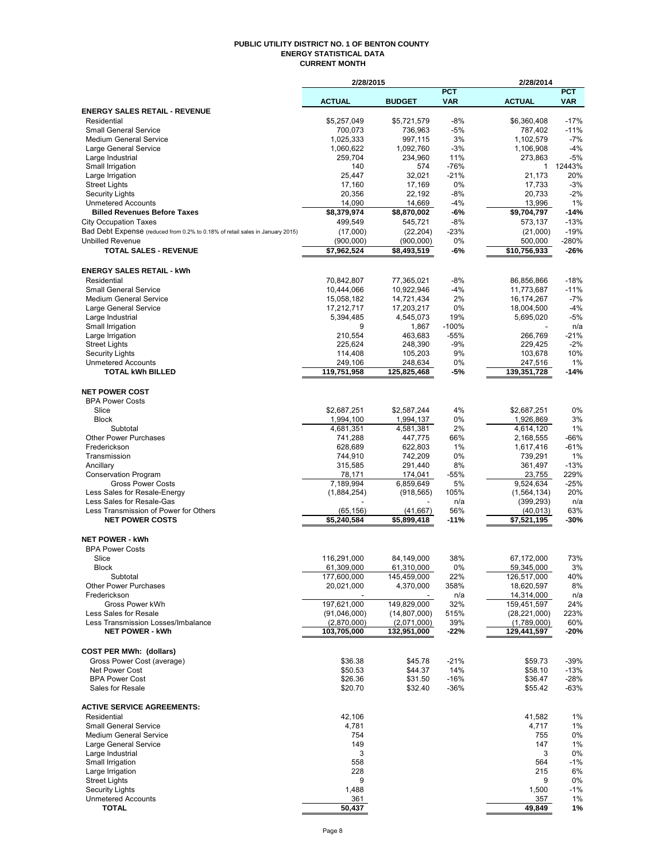#### **PUBLIC UTILITY DISTRICT NO. 1 OF BENTON COUNTY ENERGY STATISTICAL DATA CURRENT MONTH**

|                                                                               | 2/28/2015          |                          |               | 2/28/2014                |                  |
|-------------------------------------------------------------------------------|--------------------|--------------------------|---------------|--------------------------|------------------|
|                                                                               |                    |                          | <b>PCT</b>    |                          | <b>PCT</b>       |
| <b>ENERGY SALES RETAIL - REVENUE</b>                                          | <b>ACTUAL</b>      | <b>BUDGET</b>            | <b>VAR</b>    | <b>ACTUAL</b>            | <b>VAR</b>       |
| Residential                                                                   | \$5,257,049        | \$5,721,579              | $-8%$         | \$6,360,408              | $-17%$           |
| <b>Small General Service</b>                                                  | 700,073            | 736,963                  | $-5%$         | 787,402                  | $-11%$           |
| <b>Medium General Service</b>                                                 | 1,025,333          | 997,115                  | 3%            | 1,102,579                | $-7%$            |
| Large General Service                                                         | 1,060,622          | 1,092,760                | $-3%$         | 1,106,908                | $-4%$            |
| Large Industrial                                                              | 259,704            | 234,960                  | 11%           | 273,863                  | $-5%$            |
| Small Irrigation                                                              | 140                | 574                      | $-76%$        | 1                        | 12443%           |
| Large Irrigation                                                              | 25,447             | 32,021                   | $-21%$        | 21,173                   | 20%              |
| <b>Street Lights</b>                                                          | 17,160             | 17,169<br>22,192         | 0%<br>$-8%$   | 17,733<br>20.733         | $-3%$<br>$-2%$   |
| Security Lights<br><b>Unmetered Accounts</b>                                  | 20,356<br>14,090   | 14,669                   | $-4%$         | 13,996                   | 1%               |
| <b>Billed Revenues Before Taxes</b>                                           | \$8,379,974        | \$8,870,002              | -6%           | \$9,704,797              | $-14%$           |
| <b>City Occupation Taxes</b>                                                  | 499,549            | 545,721                  | $-8%$         | 573,137                  | $-13%$           |
| Bad Debt Expense (reduced from 0.2% to 0.18% of retail sales in January 2015) | (17,000)           | (22, 204)                | $-23%$        | (21,000)                 | $-19%$           |
| <b>Unbilled Revenue</b>                                                       | (900, 000)         | (900,000)                | 0%            | 500,000                  | $-280%$          |
| <b>TOTAL SALES - REVENUE</b>                                                  | \$7,962,524        | \$8,493,519              | -6%           | \$10,756,933             | $-26%$           |
|                                                                               |                    |                          |               |                          |                  |
| <b>ENERGY SALES RETAIL - kWh</b><br>Residential                               | 70,842,807         |                          | $-8%$         |                          | $-18%$           |
| <b>Small General Service</b>                                                  | 10,444,066         | 77,365,021<br>10,922,946 | $-4%$         | 86,856,866<br>11,773,687 | $-11%$           |
| <b>Medium General Service</b>                                                 | 15,058,182         | 14,721,434               | 2%            | 16,174,267               | $-7%$            |
| Large General Service                                                         | 17,212,717         | 17,203,217               | 0%            | 18,004,500               | $-4%$            |
| Large Industrial                                                              | 5,394,485          | 4,545,073                | 19%           | 5,695,020                | $-5%$            |
| Small Irrigation                                                              | 9                  | 1,867                    | $-100%$       |                          | n/a              |
| Large Irrigation                                                              | 210,554            | 463.683                  | $-55%$        | 266,769                  | $-21%$           |
| <b>Street Lights</b>                                                          | 225,624            | 248,390                  | $-9%$         | 229,425                  | $-2%$            |
| Security Lights                                                               | 114,408            | 105,203                  | 9%            | 103,678                  | 10%              |
| <b>Unmetered Accounts</b><br><b>TOTAL kWh BILLED</b>                          | 249,106            | 248,634                  | 0%            | 247,516                  | 1%<br>$-14%$     |
|                                                                               | 119,751,958        | 125,825,468              | -5%           | 139,351,728              |                  |
| <b>NET POWER COST</b>                                                         |                    |                          |               |                          |                  |
| <b>BPA Power Costs</b>                                                        |                    |                          |               |                          |                  |
| Slice                                                                         | \$2,687,251        | \$2,587,244              | 4%            | \$2,687,251              | 0%               |
| <b>Block</b>                                                                  | 1,994,100          | 1,994,137                | 0%            | 1,926,869                | 3%               |
| Subtotal                                                                      | 4,681,351          | 4,581,381                | 2%            | 4,614,120                | 1%               |
| <b>Other Power Purchases</b>                                                  | 741,288            | 447,775                  | 66%           | 2,168,555                | -66%             |
| Frederickson<br>Transmission                                                  | 628,689<br>744,910 | 622,803<br>742,209       | 1%<br>0%      | 1,617,416<br>739,291     | $-61%$<br>1%     |
| Ancillary                                                                     | 315,585            | 291,440                  | 8%            | 361,497                  | $-13%$           |
| <b>Conservation Program</b>                                                   | 78,171             | 174,041                  | $-55%$        | 23,755                   | 229%             |
| <b>Gross Power Costs</b>                                                      | 7,189,994          | 6,859,649                | 5%            | 9,524,634                | $-25%$           |
| Less Sales for Resale-Energy                                                  | (1,884,254)        | (918, 565)               | 105%          | (1, 564, 134)            | 20%              |
| Less Sales for Resale-Gas                                                     |                    |                          | n/a           | (399, 293)               | n/a              |
| Less Transmission of Power for Others                                         | (65, 156)          | (41, 667)                | 56%           | (40, 013)                | 63%              |
| <b>NET POWER COSTS</b>                                                        | \$5,240,584        | \$5,899,418              | $-11%$        | \$7,521,195              | -30%             |
| <b>NET POWER - kWh</b>                                                        |                    |                          |               |                          |                  |
| <b>BPA Power Costs</b>                                                        |                    |                          |               |                          |                  |
| Slice                                                                         | 116,291,000        | 84,149,000               | 38%           | 67,172,000               | 73%              |
| <b>Block</b>                                                                  | 61,309,000         | 61,310,000               | 0%            | 59,345,000               | 3%               |
| Subtotal<br><b>Other Power Purchases</b>                                      | 177,600,000        | 145,459,000              | 22%           | 126,517,000              | 40%              |
| Frederickson                                                                  | 20,021,000         | 4,370,000                | 358%<br>n/a   | 18,620,597<br>14,314,000 | 8%<br>n/a        |
| Gross Power kWh                                                               | 197,621,000        | 149,829,000              | 32%           | 159,451,597              | 24%              |
| Less Sales for Resale                                                         | (91,046,000)       | (14, 807, 000)           | 515%          | (28, 221, 000)           | 223%             |
| Less Transmission Losses/Imbalance                                            | (2,870,000)        | (2,071,000)              | 39%           | (1,789,000)              | 60%              |
| <b>NET POWER - kWh</b>                                                        | 103,705,000        | 132,951,000              | -22%          | 129,441,597              | -20%             |
|                                                                               |                    |                          |               |                          |                  |
| <b>COST PER MWh: (dollars)</b>                                                |                    |                          |               |                          |                  |
| Gross Power Cost (average)<br>Net Power Cost                                  | \$36.38<br>\$50.53 | \$45.78<br>\$44.37       | $-21%$<br>14% | \$59.73<br>\$58.10       | $-39%$<br>$-13%$ |
| <b>BPA Power Cost</b>                                                         | \$26.36            | \$31.50                  | $-16%$        | \$36.47                  | $-28%$           |
| Sales for Resale                                                              | \$20.70            | \$32.40                  | $-36%$        | \$55.42                  | $-63%$           |
|                                                                               |                    |                          |               |                          |                  |
| <b>ACTIVE SERVICE AGREEMENTS:</b>                                             |                    |                          |               |                          |                  |
| Residential<br><b>Small General Service</b>                                   | 42,106<br>4,781    |                          |               | 41,582<br>4,717          | 1%<br>1%         |
| <b>Medium General Service</b>                                                 | 754                |                          |               | 755                      | 0%               |
| Large General Service                                                         | 149                |                          |               | 147                      | 1%               |
| Large Industrial                                                              | 3                  |                          |               | 3                        | 0%               |
| Small Irrigation                                                              | 558                |                          |               | 564                      | $-1%$            |
| Large Irrigation                                                              | 228                |                          |               | 215                      | 6%               |
| <b>Street Lights</b>                                                          | 9                  |                          |               | 9                        | 0%               |
| <b>Security Lights</b>                                                        | 1,488              |                          |               | 1,500                    | $-1%$            |
| <b>Unmetered Accounts</b><br><b>TOTAL</b>                                     | 361<br>50,437      |                          |               | 357<br>49,849            | 1%<br>1%         |
|                                                                               |                    |                          |               |                          |                  |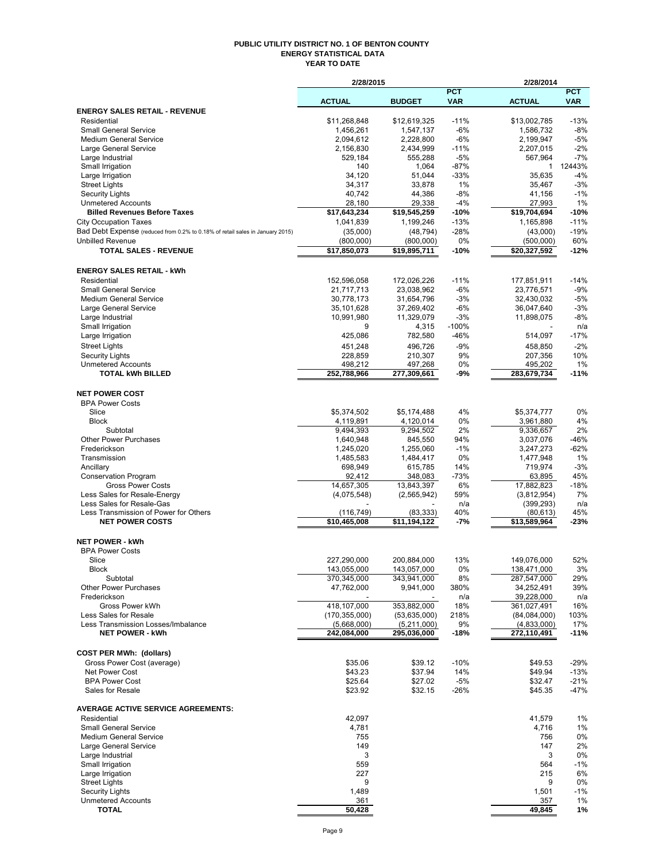#### **PUBLIC UTILITY DISTRICT NO. 1 OF BENTON COUNTY ENERGY STATISTICAL DATA YEAR TO DATE**

|                                                                               | 2/28/2015                  |                            |                          | 2/28/2014                  |                          |
|-------------------------------------------------------------------------------|----------------------------|----------------------------|--------------------------|----------------------------|--------------------------|
|                                                                               | <b>ACTUAL</b>              | <b>BUDGET</b>              | <b>PCT</b><br><b>VAR</b> | <b>ACTUAL</b>              | <b>PCT</b><br><b>VAR</b> |
| <b>ENERGY SALES RETAIL - REVENUE</b>                                          |                            |                            |                          |                            |                          |
| Residential                                                                   | \$11,268,848               | \$12.619.325               | $-11%$                   | \$13,002,785               | $-13%$                   |
| <b>Small General Service</b>                                                  | 1,456,261                  | 1,547,137                  | -6%                      | 1,586,732                  | $-8%$                    |
| <b>Medium General Service</b><br>Large General Service                        | 2,094,612                  | 2,228,800                  | -6%<br>$-11%$            | 2,199,947                  | $-5%$<br>$-2%$           |
| Large Industrial                                                              | 2,156,830<br>529,184       | 2,434,999<br>555.288       | $-5%$                    | 2,207,015<br>567,964       | $-7%$                    |
| Small Irrigation                                                              | 140                        | 1,064                      | $-87%$                   | 1                          | 12443%                   |
| Large Irrigation                                                              | 34,120                     | 51,044                     | $-33%$                   | 35,635                     | $-4%$                    |
| <b>Street Lights</b>                                                          | 34,317                     | 33,878                     | 1%                       | 35,467                     | $-3%$                    |
| <b>Security Lights</b>                                                        | 40,742                     | 44,386                     | $-8%$                    | 41,156                     | $-1%$                    |
| <b>Unmetered Accounts</b><br><b>Billed Revenues Before Taxes</b>              | 28,180<br>\$17,643,234     | 29,338<br>\$19,545,259     | $-4%$<br>$-10%$          | 27,993<br>\$19,704,694     | 1%<br>$-10%$             |
| <b>City Occupation Taxes</b>                                                  | 1,041,839                  | 1,199,246                  | $-13%$                   | 1,165,898                  | $-11%$                   |
| Bad Debt Expense (reduced from 0.2% to 0.18% of retail sales in January 2015) | (35,000)                   | (48, 794)                  | $-28%$                   | (43,000)                   | $-19%$                   |
| <b>Unbilled Revenue</b>                                                       | (800,000)                  | (800,000)                  | 0%                       | (500,000)                  | 60%                      |
| <b>TOTAL SALES - REVENUE</b>                                                  | \$17,850,073               | \$19,895,711               | $-10%$                   | \$20,327,592               | $-12%$                   |
| <b>ENERGY SALES RETAIL - kWh</b>                                              |                            |                            |                          |                            |                          |
| Residential                                                                   | 152,596,058                | 172,026,226                | $-11%$                   | 177,851,911                | $-14%$                   |
| <b>Small General Service</b><br><b>Medium General Service</b>                 | 21,717,713                 | 23,038,962                 | -6%<br>-3%               | 23,776,571                 | $-9%$<br>$-5%$           |
| Large General Service                                                         | 30,778,173<br>35,101,628   | 31,654,796<br>37,269,402   | $-6%$                    | 32,430,032<br>36,047,640   | $-3%$                    |
| Large Industrial                                                              | 10,991,980                 | 11,329,079                 | $-3%$                    | 11,898,075                 | $-8%$                    |
| Small Irrigation                                                              | 9                          | 4,315                      | -100%                    |                            | n/a                      |
| Large Irrigation                                                              | 425,086                    | 782,580                    | $-46%$                   | 514,097                    | $-17%$                   |
| <b>Street Lights</b>                                                          | 451,248                    | 496,726                    | $-9%$                    | 458,850                    | $-2%$                    |
| <b>Security Lights</b>                                                        | 228,859                    | 210,307                    | 9%                       | 207,356                    | 10%                      |
| <b>Unmetered Accounts</b>                                                     | 498.212                    | 497,268                    | 0%                       | 495,202                    | 1%                       |
| <b>TOTAL kWh BILLED</b>                                                       | 252,788,966                | 277,309,661                | -9%                      | 283,679,734                | $-11%$                   |
| <b>NET POWER COST</b>                                                         |                            |                            |                          |                            |                          |
| <b>BPA Power Costs</b><br>Slice                                               | \$5,374,502                | \$5,174,488                | 4%                       | \$5,374,777                | 0%                       |
| <b>Block</b>                                                                  | 4,119,891                  | 4,120,014                  | 0%                       | 3,961,880                  | 4%                       |
| Subtotal                                                                      | 9,494,393                  | 9,294,502                  | 2%                       | 9,336,657                  | 2%                       |
| <b>Other Power Purchases</b>                                                  | 1,640,948                  | 845,550                    | 94%                      | 3,037,076                  | $-46%$                   |
| Frederickson                                                                  | 1,245,020                  | 1,255,060                  | $-1%$                    | 3,247,273                  | -62%                     |
| Transmission                                                                  | 1,485,583                  | 1,484,417                  | 0%                       | 1,477,948                  | 1%                       |
| Ancillary                                                                     | 698,949                    | 615,785                    | 14%                      | 719,974                    | $-3%$                    |
| <b>Conservation Program</b><br><b>Gross Power Costs</b>                       | 92,412<br>14,657,305       | 348,083<br>13,843,397      | $-73%$<br>6%             | 63,895<br>17,882,823       | 45%<br>$-18%$            |
| Less Sales for Resale-Energy                                                  | (4,075,548)                | (2, 565, 942)              | 59%                      | (3,812,954)                | 7%                       |
| Less Sales for Resale-Gas                                                     |                            |                            | n/a                      | (399, 293)                 | n/a                      |
| Less Transmission of Power for Others                                         | (116, 749)                 | (83, 333)                  | 40%                      | (80, 613)                  | 45%                      |
| <b>NET POWER COSTS</b>                                                        | \$10,465,008               | \$11,194,122               | -7%                      | \$13,589,964               | $-23%$                   |
| <b>NET POWER - kWh</b>                                                        |                            |                            |                          |                            |                          |
| <b>BPA Power Costs</b>                                                        |                            |                            |                          |                            |                          |
| Slice<br>Block                                                                | 227,290,000<br>143,055,000 | 200,884,000<br>143,057,000 | 13%<br>0%                | 149,076,000<br>138,471,000 | 52%<br>3%                |
| Subtotal                                                                      | 370,345,000                | 343,941,000                | 8%                       | 287,547,000                | 29%                      |
| <b>Other Power Purchases</b>                                                  | 47,762,000                 | 9,941,000                  | 380%                     | 34,252,491                 | 39%                      |
| Frederickson                                                                  |                            |                            | n/a                      | 39,228,000                 | n/a                      |
| Gross Power kWh                                                               | 418,107,000                | 353,882,000                | 18%                      | 361,027,491                | 16%                      |
| Less Sales for Resale                                                         | (170, 355, 000)            | (53,635,000)               | 218%                     | (84,084,000)               | 103%                     |
| Less Transmission Losses/Imbalance<br><b>NET POWER - kWh</b>                  | (5,668,000)<br>242,084,000 | (5,211,000)<br>295,036,000 | 9%<br>$-18%$             | (4,833,000)<br>272,110,491 | 17%<br>$-11%$            |
| <b>COST PER MWh: (dollars)</b>                                                |                            |                            |                          |                            |                          |
| Gross Power Cost (average)                                                    | \$35.06                    | \$39.12                    | $-10%$                   | \$49.53                    | $-29%$                   |
| Net Power Cost                                                                | \$43.23                    | \$37.94                    | 14%                      | \$49.94                    | $-13%$                   |
| <b>BPA Power Cost</b>                                                         | \$25.64                    | \$27.02                    | -5%                      | \$32.47                    | $-21%$                   |
| Sales for Resale                                                              | \$23.92                    | \$32.15                    | -26%                     | \$45.35                    | $-47%$                   |
| <b>AVERAGE ACTIVE SERVICE AGREEMENTS:</b>                                     |                            |                            |                          |                            |                          |
| Residential                                                                   | 42,097                     |                            |                          | 41,579                     | 1%                       |
| <b>Small General Service</b><br><b>Medium General Service</b>                 | 4,781<br>755               |                            |                          | 4,716<br>756               | 1%                       |
| Large General Service                                                         | 149                        |                            |                          | 147                        | 0%<br>2%                 |
| Large Industrial                                                              | 3                          |                            |                          | 3                          | 0%                       |
| Small Irrigation                                                              | 559                        |                            |                          | 564                        | $-1%$                    |
| Large Irrigation                                                              | 227                        |                            |                          | 215                        | 6%                       |
| <b>Street Lights</b>                                                          | 9                          |                            |                          | 9                          | 0%                       |
| <b>Security Lights</b>                                                        | 1,489                      |                            |                          | 1,501                      | $-1%$                    |
| <b>Unmetered Accounts</b><br><b>TOTAL</b>                                     | 361<br>50,428              |                            |                          | 357<br>49,845              | 1%<br>1%                 |
|                                                                               |                            |                            |                          |                            |                          |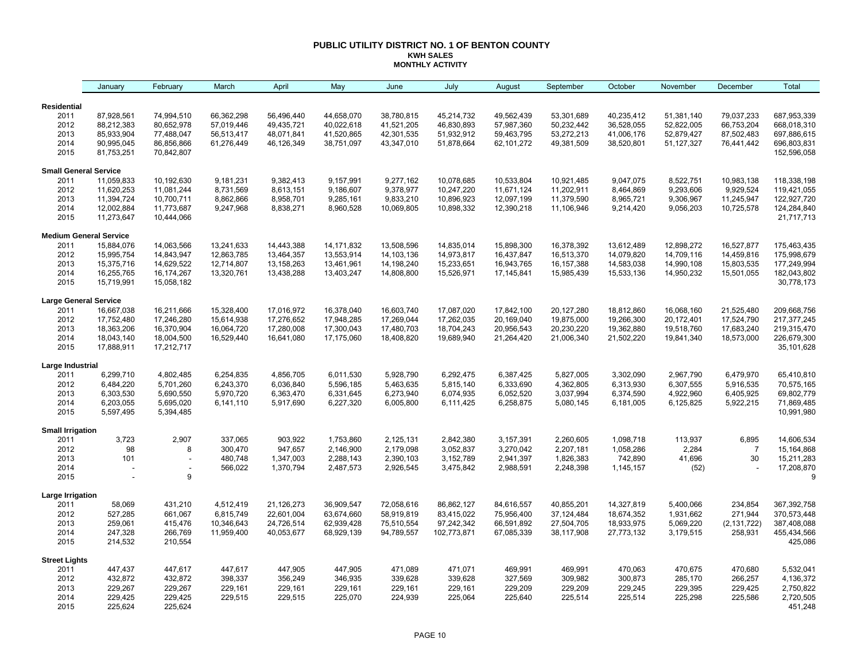#### **PUBLIC UTILITY DISTRICT NO. 1 OF BENTON COUNTY KWH SALES MONTHLY ACTIVITY**

|                              | January                       | February                 | March      | April      | May          | June       | July        | August     | September  | October    | November     | December       | Total                     |
|------------------------------|-------------------------------|--------------------------|------------|------------|--------------|------------|-------------|------------|------------|------------|--------------|----------------|---------------------------|
| <b>Residential</b>           |                               |                          |            |            |              |            |             |            |            |            |              |                |                           |
| 2011                         | 87,928,561                    | 74,994,510               | 66,362,298 | 56,496,440 | 44,658,070   | 38,780,815 | 45,214,732  | 49,562,439 | 53,301,689 | 40,235,412 | 51,381,140   | 79,037,233     | 687,953,339               |
| 2012                         | 88,212,383                    | 80,652,978               | 57,019,446 | 49,435,721 | 40,022,618   | 41,521,205 | 46,830,893  | 57,987,360 | 50,232,442 | 36,528,055 | 52,822,005   | 66,753,204     | 668,018,310               |
| 2013                         | 85,933,904                    | 77,488,047               | 56,513,417 | 48,071,841 | 41,520,865   | 42,301,535 | 51,932,912  | 59,463,795 | 53,272,213 | 41,006,176 | 52,879,427   | 87,502,483     | 697,886,615               |
| 2014                         | 90,995,045                    | 86,856,866               | 61,276,449 | 46,126,349 | 38,751,097   | 43,347,010 | 51,878,664  | 62,101,272 | 49,381,509 | 38,520,801 | 51, 127, 327 | 76,441,442     | 696,803,831               |
| 2015                         | 81,753,251                    | 70,842,807               |            |            |              |            |             |            |            |            |              |                | 152,596,058               |
| <b>Small General Service</b> |                               |                          |            |            |              |            |             |            |            |            |              |                |                           |
| 2011                         | 11,059,833                    | 10,192,630               | 9,181,231  | 9,382,413  | 9,157,991    | 9,277,162  | 10,078,685  | 10,533,804 | 10,921,485 | 9,047,075  | 8,522,751    | 10,983,138     | 118,338,198               |
| 2012                         | 11,620,253                    | 11,081,244               | 8,731,569  | 8,613,151  | 9,186,607    | 9,378,977  | 10,247,220  | 11,671,124 | 11,202,911 | 8,464,869  | 9,293,606    | 9,929,524      | 119,421,055               |
| 2013                         | 11,394,724                    | 10,700,711               | 8,862,866  | 8,958,701  | 9,285,161    | 9,833,210  | 10,896,923  | 12,097,199 | 11,379,590 | 8,965,721  | 9,306,967    | 11,245,947     | 122,927,720               |
| 2014                         | 12,002,884                    | 11,773,687               | 9,247,968  | 8,838,271  | 8,960,528    | 10,069,805 | 10,898,332  | 12,390,218 | 11,106,946 | 9,214,420  | 9,056,203    | 10,725,578     | 124,284,840               |
| 2015                         | 11,273,647                    | 10,444,066               |            |            |              |            |             |            |            |            |              |                | 21,717,713                |
|                              | <b>Medium General Service</b> |                          |            |            |              |            |             |            |            |            |              |                |                           |
| 2011                         | 15,884,076                    | 14,063,566               | 13,241,633 | 14,443,388 | 14, 171, 832 | 13,508,596 | 14,835,014  | 15,898,300 | 16,378,392 | 13,612,489 | 12,898,272   | 16,527,877     | 175,463,435               |
| 2012                         | 15,995,754                    | 14,843,947               | 12,863,785 | 13,464,357 | 13,553,914   | 14,103,136 | 14,973,817  | 16,437,847 | 16,513,370 | 14,079,820 | 14,709,116   | 14,459,816     | 175,998,679               |
| 2013                         | 15,375,716                    | 14,629,522               | 12,714,807 | 13,158,263 | 13,461,961   | 14,198,240 | 15,233,651  | 16,943,765 | 16,157,388 | 14,583,038 | 14,990,108   | 15,803,535     | 177,249,994               |
| 2014                         | 16,255,765                    | 16,174,267               | 13,320,761 | 13,438,288 | 13,403,247   | 14,808,800 | 15,526,971  | 17,145,841 | 15,985,439 | 15,533,136 | 14,950,232   | 15,501,055     | 182,043,802               |
| 2015                         | 15,719,991                    | 15,058,182               |            |            |              |            |             |            |            |            |              |                | 30,778,173                |
| <b>Large General Service</b> |                               |                          |            |            |              |            |             |            |            |            |              |                |                           |
| 2011                         | 16,667,038                    | 16,211,666               | 15,328,400 | 17,016,972 | 16,378,040   | 16,603,740 | 17,087,020  | 17,842,100 | 20,127,280 | 18,812,860 | 16,068,160   | 21,525,480     | 209,668,756               |
| 2012                         | 17,752,480                    | 17,246,280               | 15,614,938 | 17,276,652 | 17,948,285   | 17,269,044 | 17,262,035  | 20,169,040 | 19,875,000 | 19,266,300 | 20,172,401   | 17,524,790     | 217, 377, 245             |
| 2013                         | 18,363,206                    | 16,370,904               | 16,064,720 | 17,280,008 | 17,300,043   | 17,480,703 | 18,704,243  | 20,956,543 | 20,230,220 | 19,362,880 | 19,518,760   | 17,683,240     | 219,315,470               |
| 2014<br>2015                 | 18,043,140<br>17,888,911      | 18,004,500<br>17,212,717 | 16,529,440 | 16,641,080 | 17,175,060   | 18,408,820 | 19,689,940  | 21,264,420 | 21,006,340 | 21,502,220 | 19,841,340   | 18,573,000     | 226,679,300<br>35,101,628 |
| Large Industrial             |                               |                          |            |            |              |            |             |            |            |            |              |                |                           |
| 2011                         | 6,299,710                     | 4,802,485                | 6,254,835  | 4,856,705  | 6,011,530    | 5,928,790  | 6,292,475   | 6,387,425  | 5,827,005  | 3,302,090  | 2,967,790    | 6,479,970      | 65,410,810                |
| 2012                         | 6,484,220                     | 5,701,260                | 6,243,370  | 6,036,840  | 5,596,185    | 5,463,635  | 5,815,140   | 6,333,690  | 4,362,805  | 6,313,930  | 6,307,555    | 5,916,535      | 70,575,165                |
| 2013                         | 6,303,530                     | 5,690,550                | 5,970,720  | 6,363,470  | 6,331,645    | 6,273,940  | 6,074,935   | 6,052,520  | 3,037,994  | 6,374,590  | 4,922,960    | 6,405,925      | 69,802,779                |
| 2014                         | 6,203,055                     | 5,695,020                | 6,141,110  | 5,917,690  | 6,227,320    | 6,005,800  | 6,111,425   | 6,258,875  | 5,080,145  | 6,181,005  | 6,125,825    | 5,922,215      | 71,869,485                |
| 2015                         | 5,597,495                     | 5,394,485                |            |            |              |            |             |            |            |            |              |                | 10,991,980                |
| <b>Small Irrigation</b>      |                               |                          |            |            |              |            |             |            |            |            |              |                |                           |
| 2011                         | 3,723                         | 2,907                    | 337,065    | 903,922    | 1,753,860    | 2,125,131  | 2,842,380   | 3,157,391  | 2,260,605  | 1,098,718  | 113,937      | 6,895          | 14,606,534                |
| 2012                         | 98                            | 8                        | 300,470    | 947,657    | 2,146,900    | 2,179,098  | 3,052,837   | 3,270,042  | 2,207,181  | 1,058,286  | 2,284        | $\overline{7}$ | 15,164,868                |
| 2013                         | 101                           | $\overline{\phantom{a}}$ | 480,748    | 1,347,003  | 2,288,143    | 2,390,103  | 3,152,789   | 2,941,397  | 1,826,383  | 742,890    | 41,696       | 30             | 15,211,283                |
| 2014                         |                               |                          | 566,022    | 1,370,794  | 2,487,573    | 2,926,545  | 3,475,842   | 2,988,591  | 2,248,398  | 1,145,157  | (52)         |                | 17,208,870                |
| 2015                         |                               | 9                        |            |            |              |            |             |            |            |            |              |                | 9                         |
| Large Irrigation             |                               |                          |            |            |              |            |             |            |            |            |              |                |                           |
| 2011                         | 58,069                        | 431,210                  | 4,512,419  | 21,126,273 | 36,909,547   | 72,058,616 | 86,862,127  | 84,616,557 | 40,855,201 | 14,327,819 | 5,400,066    | 234,854        | 367,392,758               |
| 2012                         | 527,285                       | 661,067                  | 6,815,749  | 22,601,004 | 63,674,660   | 58,919,819 | 83,415,022  | 75,956,400 | 37,124,484 | 18,674,352 | 1,931,662    | 271,944        | 370,573,448               |
| 2013                         | 259,061                       | 415,476                  | 10,346,643 | 24,726,514 | 62,939,428   | 75,510,554 | 97,242,342  | 66,591,892 | 27,504,705 | 18,933,975 | 5,069,220    | (2, 131, 722)  | 387,408,088               |
| 2014<br>2015                 | 247,328<br>214,532            | 266,769<br>210,554       | 11,959,400 | 40,053,677 | 68,929,139   | 94,789,557 | 102,773,871 | 67,085,339 | 38,117,908 | 27,773,132 | 3,179,515    | 258,931        | 455,434,566<br>425,086    |
|                              |                               |                          |            |            |              |            |             |            |            |            |              |                |                           |
| <b>Street Lights</b><br>2011 | 447,437                       | 447,617                  | 447,617    | 447,905    | 447,905      | 471,089    | 471,071     | 469,991    | 469,991    | 470,063    | 470,675      | 470,680        | 5,532,041                 |
| 2012                         | 432,872                       | 432,872                  | 398,337    | 356,249    | 346,935      | 339,628    | 339,628     | 327,569    | 309,982    | 300,873    | 285,170      | 266,257        | 4,136,372                 |
| 2013                         | 229,267                       | 229,267                  | 229,161    | 229,161    | 229,161      | 229,161    | 229,161     | 229,209    | 229,209    | 229,245    | 229,395      | 229,425        | 2,750,822                 |
| 2014                         | 229,425                       | 229,425                  | 229,515    | 229,515    | 225,070      | 224,939    | 225,064     | 225,640    | 225,514    | 225,514    | 225,298      | 225,586        | 2,720,505                 |
| 2015                         | 225,624                       | 225,624                  |            |            |              |            |             |            |            |            |              |                | 451,248                   |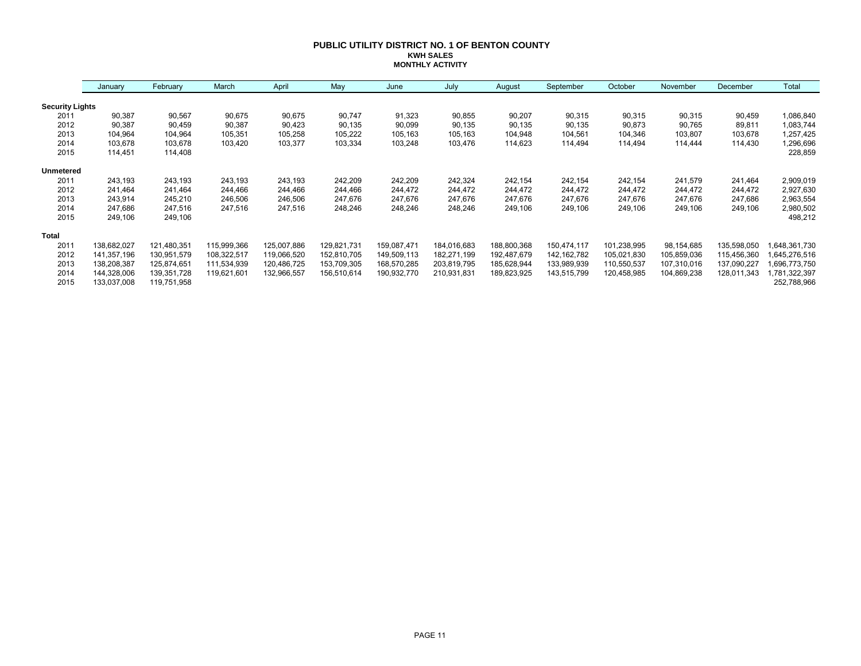#### **PUBLIC UTILITY DISTRICT NO. 1 OF BENTON COUNTY KWH SALES MONTHLY ACTIVITY**

|                        | January     | February    | March       | April       | May         | June        | July        | August      | September     | October     | November    | December    | Total        |
|------------------------|-------------|-------------|-------------|-------------|-------------|-------------|-------------|-------------|---------------|-------------|-------------|-------------|--------------|
| <b>Security Lights</b> |             |             |             |             |             |             |             |             |               |             |             |             |              |
| 2011                   | 90,387      | 90,567      | 90,675      | 90,675      | 90,747      | 91,323      | 90,855      | 90,207      | 90,315        | 90,315      | 90,315      | 90,459      | 1,086,840    |
| 2012                   | 90,387      | 90,459      | 90,387      | 90,423      | 90,135      | 90,099      | 90,135      | 90,135      | 90,135        | 90,873      | 90,765      | 89,811      | 1,083,744    |
| 2013                   | 104,964     | 104,964     | 105,351     | 105,258     | 105,222     | 105,163     | 105,163     | 104,948     | 104,561       | 104,346     | 103,807     | 103,678     | 1,257,425    |
| 2014                   | 103,678     | 103,678     | 103,420     | 103,377     | 103,334     | 103,248     | 103,476     | 114,623     | 114,494       | 114,494     | 114,444     | 114,430     | 1,296,696    |
| 2015                   | 114,451     | 114,408     |             |             |             |             |             |             |               |             |             |             | 228,859      |
| <b>Unmetered</b>       |             |             |             |             |             |             |             |             |               |             |             |             |              |
| 2011                   | 243,193     | 243,193     | 243,193     | 243,193     | 242,209     | 242,209     | 242,324     | 242,154     | 242,154       | 242,154     | 241,579     | 241,464     | 2,909,019    |
| 2012                   | 241,464     | 241,464     | 244,466     | 244,466     | 244,466     | 244,472     | 244,472     | 244,472     | 244,472       | 244,472     | 244,472     | 244,472     | 2,927,630    |
| 2013                   | 243,914     | 245,210     | 246,506     | 246,506     | 247,676     | 247,676     | 247,676     | 247,676     | 247,676       | 247,676     | 247,676     | 247,686     | 2,963,554    |
| 2014                   | 247,686     | 247,516     | 247,516     | 247,516     | 248,246     | 248,246     | 248,246     | 249,106     | 249,106       | 249,106     | 249,106     | 249,106     | 2,980,502    |
| 2015                   | 249,106     | 249,106     |             |             |             |             |             |             |               |             |             |             | 498,212      |
| <b>Total</b>           |             |             |             |             |             |             |             |             |               |             |             |             |              |
| 2011                   | 138,682,027 | 121,480,351 | 115,999,366 | 125,007,886 | 129,821,731 | 159,087,471 | 184,016,683 | 188,800,368 | 150,474,117   | 101,238,995 | 98,154,685  | 135,598,050 | 648,361,730  |
| 2012                   | 141,357,196 | 130,951,579 | 108,322,517 | 119,066,520 | 152,810,705 | 149,509,113 | 182,271,199 | 192,487,679 | 142, 162, 782 | 105,021,830 | 105,859,036 | 115,456,360 | 645,276,516  |
| 2013                   | 138,208,387 | 125,874,651 | 111,534,939 | 120,486,725 | 153,709,305 | 168,570,285 | 203,819,795 | 185,628,944 | 133,989,939   | 110,550,537 | 107,310,016 | 137,090,227 | 696,773,750  |
| 2014                   | 144,328,006 | 139,351,728 | 119,621,601 | 132,966,557 | 156,510,614 | 190,932,770 | 210,931,831 | 189,823,925 | 143,515,799   | 120,458,985 | 104,869,238 | 128,011,343 | ,781,322,397 |
| 2015                   | 133,037,008 | 119,751,958 |             |             |             |             |             |             |               |             |             |             | 252,788,966  |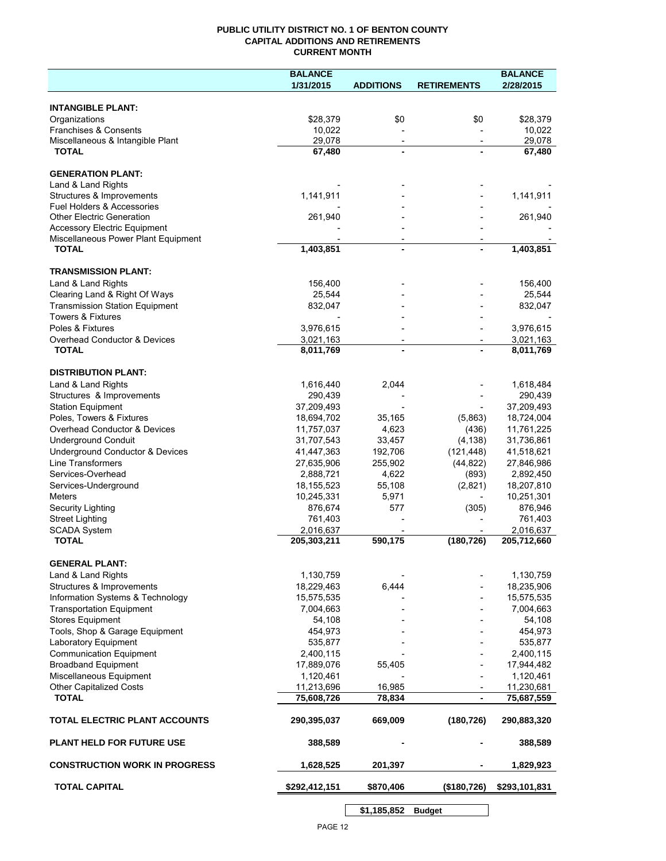## **PUBLIC UTILITY DISTRICT NO. 1 OF BENTON COUNTY CAPITAL ADDITIONS AND RETIREMENTS CURRENT MONTH**

|                                                       | <b>BALANCE</b>           |                                            |                          | <b>BALANCE</b>           |
|-------------------------------------------------------|--------------------------|--------------------------------------------|--------------------------|--------------------------|
|                                                       | 1/31/2015                | <b>ADDITIONS</b>                           | <b>RETIREMENTS</b>       | 2/28/2015                |
| <b>INTANGIBLE PLANT:</b>                              |                          |                                            |                          |                          |
| Organizations                                         | \$28,379                 | \$0                                        | \$0                      | \$28,379                 |
| Franchises & Consents                                 | 10,022                   |                                            |                          | 10,022                   |
| Miscellaneous & Intangible Plant                      | 29,078                   | $\overline{\phantom{a}}$                   | $\overline{\phantom{a}}$ | 29,078                   |
| <b>TOTAL</b>                                          | 67,480                   | $\blacksquare$                             |                          | 67,480                   |
| <b>GENERATION PLANT:</b>                              |                          |                                            |                          |                          |
| Land & Land Rights                                    |                          |                                            |                          |                          |
| Structures & Improvements                             | 1,141,911                |                                            |                          | 1,141,911                |
| <b>Fuel Holders &amp; Accessories</b>                 |                          |                                            |                          |                          |
| <b>Other Electric Generation</b>                      | 261,940                  |                                            |                          | 261,940                  |
| <b>Accessory Electric Equipment</b>                   |                          |                                            |                          |                          |
| Miscellaneous Power Plant Equipment<br><b>TOTAL</b>   | 1,403,851                | $\overline{\phantom{a}}$<br>$\blacksquare$ |                          | $\overline{1,}403,851$   |
|                                                       |                          |                                            |                          |                          |
| <b>TRANSMISSION PLANT:</b>                            |                          |                                            |                          |                          |
| Land & Land Rights                                    | 156,400                  |                                            |                          | 156,400                  |
| Clearing Land & Right Of Ways                         | 25,544                   |                                            |                          | 25,544                   |
| <b>Transmission Station Equipment</b>                 | 832,047                  |                                            |                          | 832,047                  |
| <b>Towers &amp; Fixtures</b>                          |                          |                                            |                          |                          |
| Poles & Fixtures                                      | 3,976,615                |                                            |                          | 3,976,615                |
| Overhead Conductor & Devices                          | 3,021,163                |                                            |                          | 3,021,163                |
| <b>TOTAL</b>                                          | 8,011,769                |                                            |                          | 8,011,769                |
| <b>DISTRIBUTION PLANT:</b>                            |                          |                                            |                          |                          |
| Land & Land Rights                                    | 1,616,440                | 2,044                                      |                          | 1,618,484                |
| Structures & Improvements                             | 290,439                  |                                            |                          | 290,439                  |
| <b>Station Equipment</b>                              | 37,209,493               |                                            |                          | 37,209,493               |
| Poles, Towers & Fixtures                              | 18,694,702               | 35,165                                     | (5,863)                  | 18,724,004               |
| Overhead Conductor & Devices                          | 11,757,037               | 4,623                                      | (436)                    | 11,761,225               |
| <b>Underground Conduit</b>                            | 31,707,543               | 33,457                                     | (4, 138)                 | 31,736,861               |
| Underground Conductor & Devices                       | 41,447,363               | 192,706                                    | (121, 448)               | 41,518,621               |
| <b>Line Transformers</b>                              | 27,635,906               | 255,902                                    | (44, 822)                | 27,846,986               |
| Services-Overhead                                     | 2,888,721                | 4,622                                      | (893)                    | 2,892,450                |
| Services-Underground                                  | 18, 155, 523             | 55,108                                     | (2,821)                  | 18,207,810               |
| Meters                                                | 10,245,331               | 5,971                                      | $\overline{\phantom{a}}$ | 10,251,301               |
| Security Lighting                                     | 876,674                  | 577                                        | (305)                    | 876,946                  |
| <b>Street Lighting</b>                                | 761,403                  |                                            |                          | 761,403                  |
| <b>SCADA System</b><br><b>TOTAL</b>                   | 2,016,637<br>205,303,211 | 590,175                                    | (180, 726)               | 2,016,637<br>205,712,660 |
|                                                       |                          |                                            |                          |                          |
| <b>GENERAL PLANT:</b>                                 |                          |                                            |                          |                          |
| Land & Land Rights                                    | 1,130,759                |                                            |                          | 1,130,759                |
| Structures & Improvements                             | 18,229,463               | 6,444                                      |                          | 18,235,906               |
| Information Systems & Technology                      | 15,575,535               |                                            |                          | 15,575,535               |
| <b>Transportation Equipment</b>                       | 7,004,663                |                                            |                          | 7,004,663                |
| <b>Stores Equipment</b>                               | 54,108                   |                                            |                          | 54,108                   |
| Tools, Shop & Garage Equipment                        | 454,973                  |                                            |                          | 454,973                  |
| Laboratory Equipment                                  | 535,877                  |                                            |                          | 535,877                  |
| <b>Communication Equipment</b>                        | 2,400,115                |                                            |                          | 2,400,115                |
| <b>Broadband Equipment</b><br>Miscellaneous Equipment | 17,889,076               | 55,405                                     |                          | 17,944,482               |
|                                                       | 1,120,461                |                                            |                          | 1,120,461                |
| <b>Other Capitalized Costs</b><br><b>TOTAL</b>        | 11,213,696<br>75,608,726 | 16,985<br>78,834                           |                          | 11,230,681<br>75,687,559 |
|                                                       |                          |                                            |                          |                          |
| TOTAL ELECTRIC PLANT ACCOUNTS                         | 290,395,037              | 669,009                                    | (180, 726)               | 290,883,320              |
| <b>PLANT HELD FOR FUTURE USE</b>                      | 388,589                  |                                            |                          | 388,589                  |
| <b>CONSTRUCTION WORK IN PROGRESS</b>                  | 1,628,525                | 201,397                                    |                          | 1,829,923                |
| <b>TOTAL CAPITAL</b>                                  | \$292,412,151            | \$870,406                                  | (\$180,726)              | \$293,101,831            |
|                                                       |                          |                                            |                          |                          |

PAGE 12

**\$1,185,852 Budget**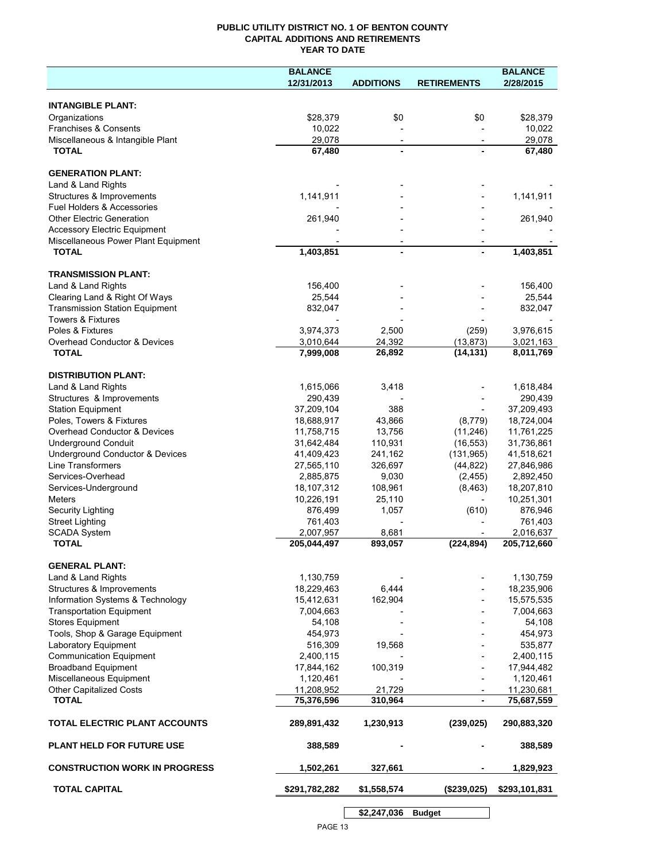## **PUBLIC UTILITY DISTRICT NO. 1 OF BENTON COUNTY CAPITAL ADDITIONS AND RETIREMENTS YEAR TO DATE**

|                                         | <b>BALANCE</b> |                          |                          | <b>BALANCE</b> |
|-----------------------------------------|----------------|--------------------------|--------------------------|----------------|
|                                         | 12/31/2013     | <b>ADDITIONS</b>         | <b>RETIREMENTS</b>       | 2/28/2015      |
|                                         |                |                          |                          |                |
| <b>INTANGIBLE PLANT:</b>                |                |                          |                          |                |
| Organizations                           | \$28,379       | \$0                      | \$0                      | \$28,379       |
| Franchises & Consents                   | 10,022         |                          |                          | 10,022         |
| Miscellaneous & Intangible Plant        | 29,078         | $\overline{\phantom{a}}$ | $\overline{\phantom{a}}$ | 29,078         |
| <b>TOTAL</b>                            | 67,480         |                          |                          | 67,480         |
| <b>GENERATION PLANT:</b>                |                |                          |                          |                |
| Land & Land Rights                      |                |                          |                          |                |
| Structures & Improvements               | 1,141,911      |                          |                          | 1,141,911      |
| Fuel Holders & Accessories              |                |                          |                          |                |
| <b>Other Electric Generation</b>        | 261,940        |                          |                          | 261,940        |
| <b>Accessory Electric Equipment</b>     |                |                          |                          |                |
| Miscellaneous Power Plant Equipment     |                |                          |                          |                |
| <b>TOTAL</b>                            | 1,403,851      | $\overline{a}$           |                          | 1,403,851      |
|                                         |                |                          |                          |                |
| <b>TRANSMISSION PLANT:</b>              |                |                          |                          |                |
| Land & Land Rights                      | 156,400        |                          |                          | 156,400        |
| Clearing Land & Right Of Ways           | 25,544         |                          |                          | 25,544         |
| <b>Transmission Station Equipment</b>   | 832,047        |                          |                          | 832,047        |
| <b>Towers &amp; Fixtures</b>            |                |                          |                          |                |
| Poles & Fixtures                        | 3,974,373      | 2,500                    | (259)                    | 3,976,615      |
| <b>Overhead Conductor &amp; Devices</b> | 3,010,644      | 24,392                   | (13, 873)                | 3,021,163      |
| <b>TOTAL</b>                            | 7,999,008      | 26,892                   | (14, 131)                | 8,011,769      |
|                                         |                |                          |                          |                |
| <b>DISTRIBUTION PLANT:</b>              |                |                          |                          |                |
| Land & Land Rights                      | 1,615,066      | 3,418                    |                          | 1,618,484      |
| Structures & Improvements               | 290,439        |                          |                          | 290,439        |
| <b>Station Equipment</b>                | 37,209,104     | 388                      |                          | 37,209,493     |
| Poles, Towers & Fixtures                | 18,688,917     | 43,866                   | (8,779)                  | 18,724,004     |
| Overhead Conductor & Devices            | 11,758,715     | 13,756                   | (11,246)                 | 11,761,225     |
| <b>Underground Conduit</b>              | 31,642,484     | 110,931                  | (16, 553)                | 31,736,861     |
| Underground Conductor & Devices         | 41,409,423     | 241,162                  | (131, 965)               | 41,518,621     |
| Line Transformers                       | 27,565,110     | 326,697                  | (44, 822)                | 27,846,986     |
| Services-Overhead                       | 2,885,875      | 9,030                    | (2, 455)                 | 2,892,450      |
| Services-Underground                    | 18,107,312     | 108,961                  | (8, 463)                 | 18,207,810     |
| Meters                                  | 10,226,191     | 25,110                   |                          | 10,251,301     |
| Security Lighting                       | 876,499        | 1,057                    | (610)                    | 876,946        |
| <b>Street Lighting</b>                  | 761,403        |                          |                          | 761,403        |
| <b>SCADA System</b>                     | 2,007,957      | 8,681                    |                          | 2,016,637      |
| <b>TOTAL</b>                            | 205,044,497    | 893,057                  | (224, 894)               | 205,712,660    |
|                                         |                |                          |                          |                |
| <b>GENERAL PLANT:</b>                   |                |                          |                          |                |
| Land & Land Rights                      | 1,130,759      |                          |                          | 1,130,759      |
| Structures & Improvements               | 18,229,463     | 6,444                    |                          | 18,235,906     |
| Information Systems & Technology        | 15,412,631     | 162,904                  |                          | 15,575,535     |
| <b>Transportation Equipment</b>         | 7,004,663      |                          |                          | 7,004,663      |
| <b>Stores Equipment</b>                 | 54,108         |                          |                          | 54,108         |
| Tools, Shop & Garage Equipment          | 454,973        |                          |                          | 454,973        |
| Laboratory Equipment                    | 516,309        | 19,568                   |                          | 535,877        |
| <b>Communication Equipment</b>          | 2,400,115      |                          |                          | 2,400,115      |
| <b>Broadband Equipment</b>              | 17,844,162     | 100,319                  |                          | 17,944,482     |
| Miscellaneous Equipment                 | 1,120,461      |                          |                          | 1,120,461      |
| Other Capitalized Costs                 | 11,208,952     | 21,729                   |                          | 11,230,681     |
| <b>TOTAL</b>                            | 75,376,596     | 310,964                  | $\blacksquare$           | 75,687,559     |
|                                         |                |                          |                          |                |
| TOTAL ELECTRIC PLANT ACCOUNTS           | 289,891,432    | 1,230,913                | (239, 025)               | 290,883,320    |
| <b>PLANT HELD FOR FUTURE USE</b>        | 388,589        |                          |                          | 388,589        |
|                                         |                |                          |                          |                |
| <b>CONSTRUCTION WORK IN PROGRESS</b>    | 1,502,261      | 327,661                  |                          | 1,829,923      |
| <b>TOTAL CAPITAL</b>                    | \$291,782,282  | \$1,558,574              | (\$239,025)              | \$293,101,831  |
|                                         |                | \$2,247,036              | <b>Budget</b>            |                |
|                                         |                |                          |                          |                |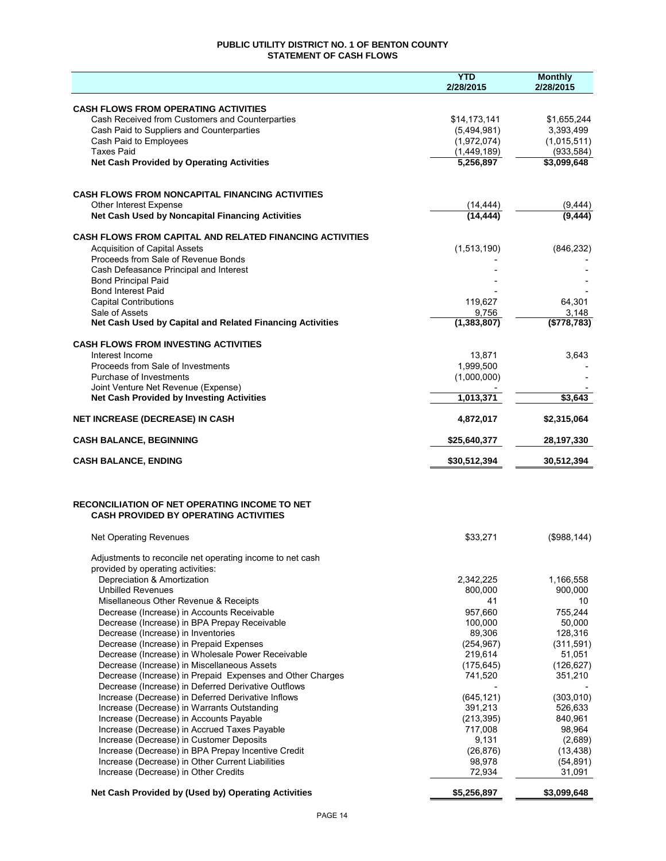## **PUBLIC UTILITY DISTRICT NO. 1 OF BENTON COUNTY STATEMENT OF CASH FLOWS**

|                                                                                                      | <b>YTD</b><br>2/28/2015  | <b>Monthly</b><br>2/28/2015 |
|------------------------------------------------------------------------------------------------------|--------------------------|-----------------------------|
| <b>CASH FLOWS FROM OPERATING ACTIVITIES</b>                                                          |                          |                             |
| Cash Received from Customers and Counterparties                                                      | \$14,173,141             | \$1,655,244                 |
| Cash Paid to Suppliers and Counterparties                                                            | (5,494,981)              | 3,393,499                   |
| Cash Paid to Employees<br><b>Taxes Paid</b>                                                          | (1,972,074)              | (1,015,511)                 |
| <b>Net Cash Provided by Operating Activities</b>                                                     | (1,449,189)<br>5,256,897 | (933, 584)<br>\$3,099,648   |
|                                                                                                      |                          |                             |
| <b>CASH FLOWS FROM NONCAPITAL FINANCING ACTIVITIES</b>                                               |                          |                             |
| Other Interest Expense<br>Net Cash Used by Noncapital Financing Activities                           | (14, 444)<br>(14, 444)   | (9, 444)<br>(9, 444)        |
| <b>CASH FLOWS FROM CAPITAL AND RELATED FINANCING ACTIVITIES</b>                                      |                          |                             |
| <b>Acquisition of Capital Assets</b>                                                                 | (1,513,190)              | (846, 232)                  |
| Proceeds from Sale of Revenue Bonds                                                                  |                          |                             |
| Cash Defeasance Principal and Interest                                                               |                          |                             |
| <b>Bond Principal Paid</b>                                                                           |                          |                             |
| <b>Bond Interest Paid</b><br><b>Capital Contributions</b>                                            | 119,627                  | 64,301                      |
| Sale of Assets                                                                                       | 9,756                    | 3,148                       |
| Net Cash Used by Capital and Related Financing Activities                                            | (1, 383, 807)            | (\$778,783)                 |
| <b>CASH FLOWS FROM INVESTING ACTIVITIES</b>                                                          |                          |                             |
| Interest Income                                                                                      | 13,871                   | 3,643                       |
| Proceeds from Sale of Investments                                                                    | 1,999,500                |                             |
| Purchase of Investments<br>Joint Venture Net Revenue (Expense)                                       | (1,000,000)              |                             |
| <b>Net Cash Provided by Investing Activities</b>                                                     | 1,013,371                | \$3,643                     |
| <b>NET INCREASE (DECREASE) IN CASH</b>                                                               | 4,872,017                | \$2,315,064                 |
| <b>CASH BALANCE, BEGINNING</b>                                                                       | \$25,640,377             | 28,197,330                  |
| <b>CASH BALANCE, ENDING</b>                                                                          | \$30,512,394             | 30,512,394                  |
|                                                                                                      |                          |                             |
| <b>RECONCILIATION OF NET OPERATING INCOME TO NET</b><br><b>CASH PROVIDED BY OPERATING ACTIVITIES</b> |                          |                             |
| <b>Net Operating Revenues</b>                                                                        | \$33,271                 | (\$988,144)                 |
| Adjustments to reconcile net operating income to net cash                                            |                          |                             |
| provided by operating activities:<br>Depreciation & Amortization                                     | 2,342,225                | 1,166,558                   |
| <b>Unbilled Revenues</b>                                                                             | 800,000                  | 900,000                     |
| Misellaneous Other Revenue & Receipts                                                                | 41                       | 10                          |
| Decrease (Increase) in Accounts Receivable                                                           | 957.660                  | 755,244                     |
| Decrease (Increase) in BPA Prepay Receivable<br>Decrease (Increase) in Inventories                   | 100,000<br>89,306        | 50,000<br>128,316           |
| Decrease (Increase) in Prepaid Expenses                                                              | (254, 967)               | (311,591)                   |
| Decrease (Increase) in Wholesale Power Receivable                                                    | 219,614                  | 51,051                      |
| Decrease (Increase) in Miscellaneous Assets                                                          | (175, 645)               | (126, 627)                  |
| Decrease (Increase) in Prepaid Expenses and Other Charges                                            | 741,520                  | 351,210                     |
| Decrease (Increase) in Deferred Derivative Outflows                                                  |                          |                             |
| Increase (Decrease) in Deferred Derivative Inflows<br>Increase (Decrease) in Warrants Outstanding    | (645, 121)<br>391,213    | (303,010)<br>526,633        |
| Increase (Decrease) in Accounts Payable                                                              | (213, 395)               | 840,961                     |
| Increase (Decrease) in Accrued Taxes Payable                                                         | 717,008                  | 98,964                      |
| Increase (Decrease) in Customer Deposits                                                             | 9,131                    | (2,689)                     |
| Increase (Decrease) in BPA Prepay Incentive Credit                                                   | (26, 876)                | (13, 438)                   |
| Increase (Decrease) in Other Current Liabilities                                                     | 98,978                   | (54, 891)                   |
| Increase (Decrease) in Other Credits                                                                 | 72,934                   | 31,091                      |
| Net Cash Provided by (Used by) Operating Activities                                                  | \$5,256,897              | \$3,099,648                 |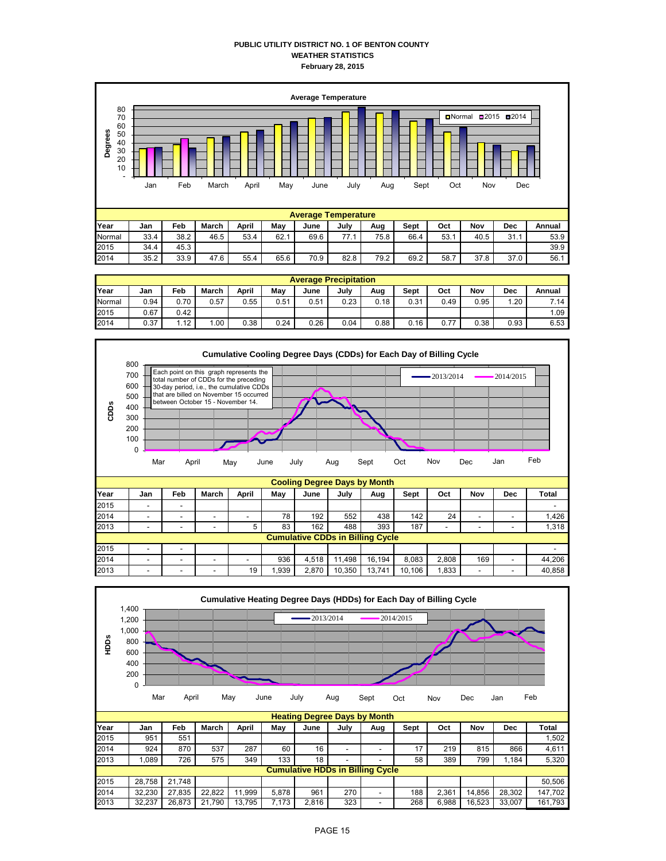### **PUBLIC UTILITY DISTRICT NO. 1 OF BENTON COUNTY WEATHER STATISTICS February 28, 2015**



|        | <b>Average Precipitation</b> |                   |       |       |      |      |      |      |      |      |      |      |        |
|--------|------------------------------|-------------------|-------|-------|------|------|------|------|------|------|------|------|--------|
| Year   | Jan                          | Feb               | March | April | May  | June | July | Aug  | Sept | Oct  | Nov  | Dec  | Annual |
| Normal | 0.94                         | 0.70              | 0.57  | 0.55  | 0.51 | 0.51 | 0.23 | 0.18 | 0.31 | 0.49 | 0.95 | 1.20 | 7.14   |
| 2015   | 0.67                         | 0.42              |       |       |      |      |      |      |      |      |      |      | 1.09   |
| 2014   | 0.37                         | 1.12 <sub>1</sub> | .00   | 0.38  | 0.24 | 0.26 | 0.04 | 0.88 | 0.16 | 0.77 | 0.38 | 0.93 | 6.53   |



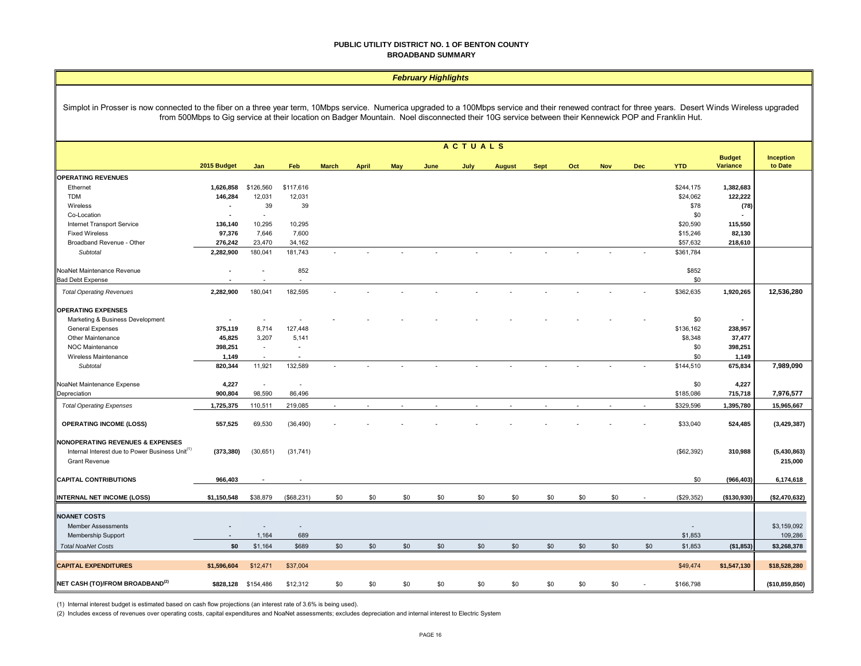#### **PUBLIC UTILITY DISTRICT NO. 1 OF BENTON COUNTY BROADBAND SUMMARY**

#### *February Highlights*

Simplot in Prosser is now connected to the fiber on a three year term, 10Mbps service. Numerica upgraded to a 100Mbps service and their renewed contract for three years. Desert Winds Wireless upgraded from 500Mbps to Gig service at their location on Badger Mountain. Noel disconnected their 10G service between their Kennewick POP and Franklin Hut.

|                                                                                                                                    | <b>ACTUALS</b>           |                          |                          |                          |              |     |      |      |               |             |     |            |            |            |                                  |                             |
|------------------------------------------------------------------------------------------------------------------------------------|--------------------------|--------------------------|--------------------------|--------------------------|--------------|-----|------|------|---------------|-------------|-----|------------|------------|------------|----------------------------------|-----------------------------|
|                                                                                                                                    | 2015 Budget              | Jan                      | Feb                      | <b>March</b>             | <b>April</b> | May | June | July | <b>August</b> | <b>Sept</b> | Oct | <b>Nov</b> | <b>Dec</b> | <b>YTD</b> | <b>Budget</b><br><b>Variance</b> | <b>Inception</b><br>to Date |
| <b>OPERATING REVENUES</b>                                                                                                          |                          |                          |                          |                          |              |     |      |      |               |             |     |            |            |            |                                  |                             |
| Ethernet                                                                                                                           | 1,626,858                | \$126,560                | \$117,616                |                          |              |     |      |      |               |             |     |            |            | \$244,175  | 1,382,683                        |                             |
| <b>TDM</b>                                                                                                                         | 146,284                  | 12,031                   | 12,031                   |                          |              |     |      |      |               |             |     |            |            | \$24,062   | 122,222                          |                             |
| Wireless                                                                                                                           | $\overline{\phantom{a}}$ | 39                       | 39                       |                          |              |     |      |      |               |             |     |            |            | \$78       | (78)                             |                             |
| Co-Location                                                                                                                        | $\overline{\phantom{a}}$ | $\sim$                   |                          |                          |              |     |      |      |               |             |     |            |            | \$0        |                                  |                             |
| Internet Transport Service                                                                                                         | 136,140                  | 10,295                   | 10,295                   |                          |              |     |      |      |               |             |     |            |            | \$20,590   | 115,550                          |                             |
| <b>Fixed Wireless</b>                                                                                                              | 97,376                   | 7,646                    | 7,600                    |                          |              |     |      |      |               |             |     |            |            | \$15,246   | 82,130                           |                             |
| Broadband Revenue - Other                                                                                                          | 276,242                  | 23,470                   | 34,162                   |                          |              |     |      |      |               |             |     |            |            | \$57,632   | 218,610                          |                             |
| Subtotal                                                                                                                           | 2,282,900                | 180,041                  | 181,743                  | ÷.                       |              |     |      |      |               |             |     |            |            | \$361,784  |                                  |                             |
|                                                                                                                                    |                          |                          |                          |                          |              |     |      |      |               |             |     |            |            |            |                                  |                             |
| NoaNet Maintenance Revenue                                                                                                         |                          | $\sim$                   | 852                      |                          |              |     |      |      |               |             |     |            |            | \$852      |                                  |                             |
| <b>Bad Debt Expense</b>                                                                                                            |                          |                          |                          |                          |              |     |      |      |               |             |     |            |            | \$0        |                                  |                             |
| <b>Total Operating Revenues</b>                                                                                                    | 2,282,900                | 180,041                  | 182,595                  |                          |              |     |      |      |               |             |     |            |            | \$362,635  | 1,920,265                        | 12,536,280                  |
| <b>OPERATING EXPENSES</b>                                                                                                          |                          |                          |                          |                          |              |     |      |      |               |             |     |            |            |            |                                  |                             |
| Marketing & Business Development                                                                                                   |                          | $\overline{\phantom{a}}$ |                          |                          |              |     |      |      |               |             |     |            |            | \$0        | $\blacksquare$                   |                             |
| <b>General Expenses</b>                                                                                                            | 375,119                  | 8,714                    | 127,448                  |                          |              |     |      |      |               |             |     |            |            | \$136,162  | 238,957                          |                             |
| Other Maintenance                                                                                                                  | 45,825                   | 3,207                    | 5,141                    |                          |              |     |      |      |               |             |     |            |            | \$8,348    | 37,477                           |                             |
| NOC Maintenance                                                                                                                    | 398,251                  | $\overline{\phantom{a}}$ | $\sim$                   |                          |              |     |      |      |               |             |     |            |            | \$0        | 398,251                          |                             |
| Wireless Maintenance                                                                                                               | 1,149                    | $\overline{\phantom{a}}$ | $\overline{\phantom{a}}$ |                          |              |     |      |      |               |             |     |            |            | \$0        | 1,149                            |                             |
| Subtotal                                                                                                                           | 820,344                  | 11,921                   | 132,589                  |                          |              |     |      |      |               |             |     |            |            | \$144,510  | 675,834                          | 7,989,090                   |
|                                                                                                                                    |                          |                          |                          |                          |              |     |      |      |               |             |     |            |            |            |                                  |                             |
| NoaNet Maintenance Expense                                                                                                         | 4,227                    | $\overline{\phantom{a}}$ | $\overline{\phantom{a}}$ |                          |              |     |      |      |               |             |     |            |            | \$0        | 4,227                            |                             |
| Depreciation                                                                                                                       | 900,804                  | 98,590                   | 86,496                   |                          |              |     |      |      |               |             |     |            |            | \$185,086  | 715,718                          | 7,976,577                   |
| <b>Total Operating Expenses</b>                                                                                                    | 1,725,375                | 110,511                  | 219,085                  | $\overline{\phantom{a}}$ |              |     |      |      |               |             |     |            | $\sim$     | \$329,596  | 1,395,780                        | 15,965,667                  |
| <b>OPERATING INCOME (LOSS)</b>                                                                                                     | 557,525                  | 69,530                   | (36, 490)                |                          |              |     |      |      |               |             |     |            |            | \$33,040   | 524,485                          | (3, 429, 387)               |
| <b>NONOPERATING REVENUES &amp; EXPENSES</b><br>Internal Interest due to Power Business Unit <sup>(1)</sup><br><b>Grant Revenue</b> | (373, 380)               | (30,651)                 | (31, 741)                |                          |              |     |      |      |               |             |     |            |            | (\$62,392) | 310,988                          | (5,430,863)<br>215,000      |
|                                                                                                                                    |                          |                          |                          |                          |              |     |      |      |               |             |     |            |            |            |                                  |                             |
| <b>CAPITAL CONTRIBUTIONS</b>                                                                                                       | 966,403                  |                          |                          |                          |              |     |      |      |               |             |     |            |            | \$0        | (966, 403)                       | 6,174,618                   |
| <b>INTERNAL NET INCOME (LOSS)</b>                                                                                                  | \$1,150,548              | \$38,879                 | (\$68,231)               | \$0                      | \$0          | \$0 | \$0  | \$0  | \$0           | \$0         | \$0 | \$0        |            | (\$29,352) | ( \$130, 930)                    | (\$2,470,632)               |
| <b>NOANET COSTS</b>                                                                                                                |                          |                          |                          |                          |              |     |      |      |               |             |     |            |            |            |                                  |                             |
| <b>Member Assessments</b>                                                                                                          |                          |                          | $\overline{\phantom{a}}$ |                          |              |     |      |      |               |             |     |            |            | $\sim$     |                                  | \$3,159,092                 |
| Membership Support                                                                                                                 |                          | 1,164                    | 689                      |                          |              |     |      |      |               |             |     |            |            | \$1,853    |                                  | 109,286                     |
|                                                                                                                                    |                          |                          |                          |                          |              |     |      |      |               |             |     |            |            |            |                                  |                             |
| <b>Total NoaNet Costs</b>                                                                                                          | \$0                      | \$1,164                  | \$689                    | \$0                      | \$0          | \$0 | \$0  | \$0  | \$0           | \$0         | \$0 | \$0        | \$0        | \$1,853    | (\$1,853)                        | \$3,268,378                 |
| <b>CAPITAL EXPENDITURES</b>                                                                                                        | \$1,596,604              | \$12,471                 | \$37,004                 |                          |              |     |      |      |               |             |     |            |            | \$49,474   | \$1,547,130                      | \$18,528,280                |
| <b>NET CASH (TO)/FROM BROADBAND(2)</b>                                                                                             | \$828,128                | \$154,486                | \$12,312                 | \$0                      | \$0          | \$0 | \$0  | \$0  | \$0           | \$0         | \$0 | \$0        |            | \$166,798  |                                  | (\$10,859,850)              |
|                                                                                                                                    |                          |                          |                          |                          |              |     |      |      |               |             |     |            |            |            |                                  |                             |

(1) Internal interest budget is estimated based on cash flow projections (an interest rate of 3.6% is being used).

(2) Includes excess of revenues over operating costs, capital expenditures and NoaNet assessments; excludes depreciation and internal interest to Electric System